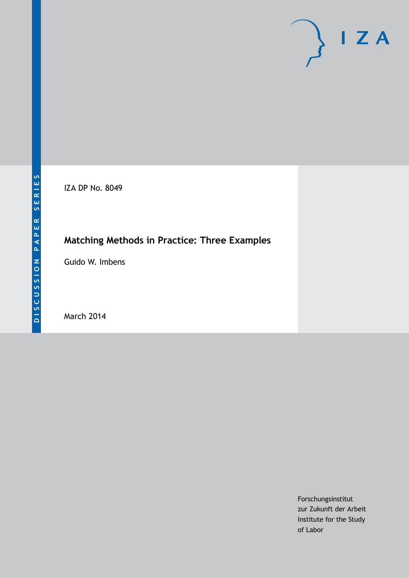IZA DP No. 8049

## **Matching Methods in Practice: Three Examples**

Guido W. Imbens

March 2014

Forschungsinstitut zur Zukunft der Arbeit Institute for the Study of Labor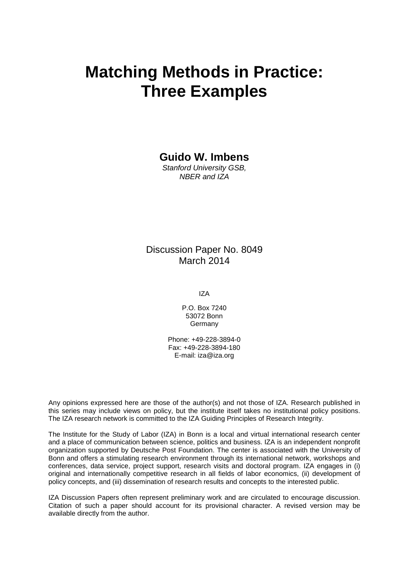# **Matching Methods in Practice: Three Examples**

**Guido W. Imbens**

*Stanford University GSB, NBER and IZA*

## Discussion Paper No. 8049 March 2014

IZA

P.O. Box 7240 53072 Bonn Germany

Phone: +49-228-3894-0 Fax: +49-228-3894-180 E-mail: [iza@iza.org](mailto:iza@iza.org)

Any opinions expressed here are those of the author(s) and not those of IZA. Research published in this series may include views on policy, but the institute itself takes no institutional policy positions. The IZA research network is committed to the IZA Guiding Principles of Research Integrity.

The Institute for the Study of Labor (IZA) in Bonn is a local and virtual international research center and a place of communication between science, politics and business. IZA is an independent nonprofit organization supported by Deutsche Post Foundation. The center is associated with the University of Bonn and offers a stimulating research environment through its international network, workshops and conferences, data service, project support, research visits and doctoral program. IZA engages in (i) original and internationally competitive research in all fields of labor economics, (ii) development of policy concepts, and (iii) dissemination of research results and concepts to the interested public.

<span id="page-1-0"></span>IZA Discussion Papers often represent preliminary work and are circulated to encourage discussion. Citation of such a paper should account for its provisional character. A revised version may be available directly from the author.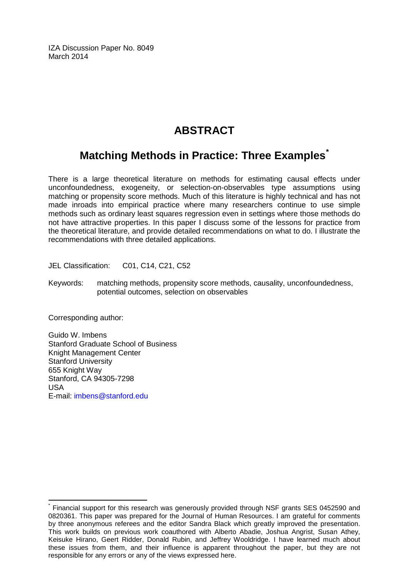IZA Discussion Paper No. 8049 March 2014

## **ABSTRACT**

## **Matching Methods in Practice: Three Examples[\\*](#page-1-0)**

There is a large theoretical literature on methods for estimating causal effects under unconfoundedness, exogeneity, or selection-on-observables type assumptions using matching or propensity score methods. Much of this literature is highly technical and has not made inroads into empirical practice where many researchers continue to use simple methods such as ordinary least squares regression even in settings where those methods do not have attractive properties. In this paper I discuss some of the lessons for practice from the theoretical literature, and provide detailed recommendations on what to do. I illustrate the recommendations with three detailed applications.

JEL Classification: C01, C14, C21, C52

Keywords: matching methods, propensity score methods, causality, unconfoundedness, potential outcomes, selection on observables

Corresponding author:

Guido W. Imbens Stanford Graduate School of Business Knight Management Center Stanford University 655 Knight Way Stanford, CA 94305-7298 USA E-mail: [imbens@stanford.edu](mailto:imbens@stanford.edu)

Financial support for this research was generously provided through NSF grants SES 0452590 and 0820361. This paper was prepared for the Journal of Human Resources. I am grateful for comments by three anonymous referees and the editor Sandra Black which greatly improved the presentation. This work builds on previous work coauthored with Alberto Abadie, Joshua Angrist, Susan Athey, Keisuke Hirano, Geert Ridder, Donald Rubin, and Jeffrey Wooldridge. I have learned much about these issues from them, and their influence is apparent throughout the paper, but they are not responsible for any errors or any of the views expressed here.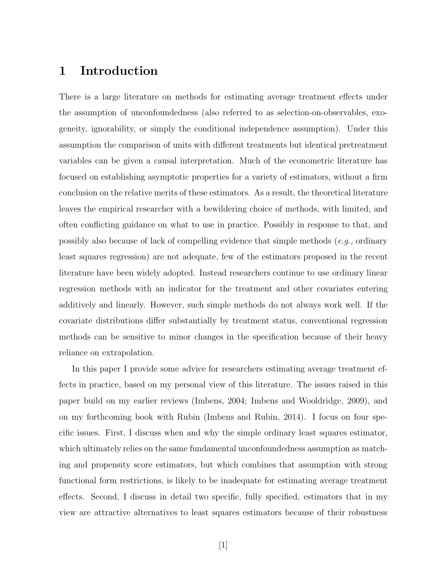## 1 Introduction

There is a large literature on methods for estimating average treatment effects under the assumption of unconfoundedness (also referred to as selection-on-observables, exogeneity, ignorability, or simply the conditional independence assumption). Under this assumption the comparison of units with different treatments but identical pretreatment variables can be given a causal interpretation. Much of the econometric literature has focused on establishing asymptotic properties for a variety of estimators, without a firm conclusion on the relative merits of these estimators. As a result, the theoretical literature leaves the empirical researcher with a bewildering choice of methods, with limited, and often conflicting guidance on what to use in practice. Possibly in response to that, and possibly also because of lack of compelling evidence that simple methods  $(e.g., \text{ ordinary})$ least squares regression) are not adequate, few of the estimators proposed in the recent literature have been widely adopted. Instead researchers continue to use ordinary linear regression methods with an indicator for the treatment and other covariates entering additively and linearly. However, such simple methods do not always work well. If the covariate distributions differ substantially by treatment status, conventional regression methods can be sensitive to minor changes in the specification because of their heavy reliance on extrapolation.

In this paper I provide some advice for researchers estimating average treatment effects in practice, based on my personal view of this literature. The issues raised in this paper build on my earlier reviews (Imbens, 2004; Imbens and Wooldridge, 2009), and on my forthcoming book with Rubin (Imbens and Rubin, 2014). I focus on four specific issues. First, I discuss when and why the simple ordinary least squares estimator, which ultimately relies on the same fundamental unconfoundedness assumption as matching and propensity score estimators, but which combines that assumption with strong functional form restrictions, is likely to be inadequate for estimating average treatment effects. Second, I discuss in detail two specific, fully specified, estimators that in my view are attractive alternatives to least squares estimators because of their robustness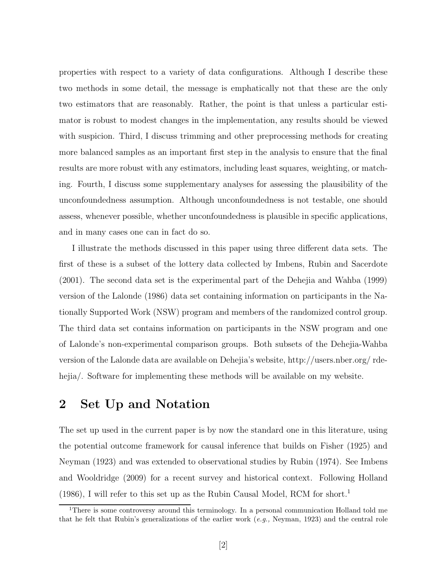properties with respect to a variety of data configurations. Although I describe these two methods in some detail, the message is emphatically not that these are the only two estimators that are reasonably. Rather, the point is that unless a particular estimator is robust to modest changes in the implementation, any results should be viewed with suspicion. Third, I discuss trimming and other preprocessing methods for creating more balanced samples as an important first step in the analysis to ensure that the final results are more robust with any estimators, including least squares, weighting, or matching. Fourth, I discuss some supplementary analyses for assessing the plausibility of the unconfoundedness assumption. Although unconfoundedness is not testable, one should assess, whenever possible, whether unconfoundedness is plausible in specific applications, and in many cases one can in fact do so.

I illustrate the methods discussed in this paper using three different data sets. The first of these is a subset of the lottery data collected by Imbens, Rubin and Sacerdote (2001). The second data set is the experimental part of the Dehejia and Wahba (1999) version of the Lalonde (1986) data set containing information on participants in the Nationally Supported Work (NSW) program and members of the randomized control group. The third data set contains information on participants in the NSW program and one of Lalonde's non-experimental comparison groups. Both subsets of the Dehejia-Wahba version of the Lalonde data are available on Dehejia's website, http://users.nber.org/ rdehejia/. Software for implementing these methods will be available on my website.

## 2 Set Up and Notation

The set up used in the current paper is by now the standard one in this literature, using the potential outcome framework for causal inference that builds on Fisher (1925) and Neyman (1923) and was extended to observational studies by Rubin (1974). See Imbens and Wooldridge (2009) for a recent survey and historical context. Following Holland  $(1986)$ , I will refer to this set up as the Rubin Causal Model, RCM for short.<sup>1</sup>

<sup>&</sup>lt;sup>1</sup>There is some controversy around this terminology. In a personal communication Holland told me that he felt that Rubin's generalizations of the earlier work  $(e.g.,$  Neyman, 1923) and the central role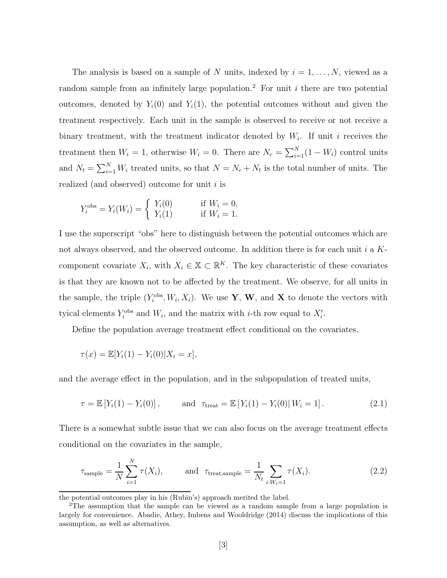The analysis is based on a sample of N units, indexed by  $i = 1, \ldots, N$ , viewed as a random sample from an infinitely large population.<sup>2</sup> For unit i there are two potential outcomes, denoted by  $Y_i(0)$  and  $Y_i(1)$ , the potential outcomes without and given the treatment respectively. Each unit in the sample is observed to receive or not receive a binary treatment, with the treatment indicator denoted by  $W_i$ . If unit i receives the treatment then  $W_i = 1$ , otherwise  $W_i = 0$ . There are  $N_c = \sum_{i=1}^{N} (1 - W_i)$  control units and  $N_t = \sum_{i=1}^{N} W_i$  treated units, so that  $N = N_c + N_t$  is the total number of units. The realized (and observed) outcome for unit  $i$  is

$$
Y_i^{\text{obs}} = Y_i(W_i) = \begin{cases} Y_i(0) & \text{if } W_i = 0, \\ Y_i(1) & \text{if } W_i = 1. \end{cases}
$$

I use the superscript "obs" here to distinguish between the potential outcomes which are not always observed, and the observed outcome. In addition there is for each unit  $i$  a  $K$ component covariate  $X_i$ , with  $X_i \in \mathbb{X} \subset \mathbb{R}^K$ . The key characteristic of these covariates is that they are known not to be affected by the treatment. We observe, for all units in the sample, the triple  $(Y_i^{\text{obs}}, W_i, X_i)$ . We use **Y**, **W**, and **X** to denote the vectors with tyical elements  $Y_i^{\text{obs}}$  and  $W_i$ , and the matrix with *i*-th row equal to  $X_i'$ .

Define the population average treatment effect conditional on the covariates,

$$
\tau(x) = \mathbb{E}[Y_i(1) - Y_i(0)|X_i = x],
$$

and the average effect in the population, and in the subpopulation of treated units,

$$
\tau = \mathbb{E}\left[Y_i(1) - Y_i(0)\right], \quad \text{and} \quad \tau_{\text{treat}} = \mathbb{E}\left[Y_i(1) - Y_i(0)\right| W_i = 1]. \tag{2.1}
$$

There is a somewhat subtle issue that we can also focus on the average treatment effects conditional on the covariates in the sample,

$$
\tau_{\text{sample}} = \frac{1}{N} \sum_{i=1}^{N} \tau(X_i), \quad \text{and } \tau_{\text{treat,sample}} = \frac{1}{N_t} \sum_{i: W_i = 1} \tau(X_i). \tag{2.2}
$$

the potential outcomes play in his (Rubin's) approach merited the label.

<sup>&</sup>lt;sup>2</sup>The assumption that the sample can be viewed as a random sample from a large population is largely for convenience. Abadie, Athey, Imbens and Wooldridge (2014) discuss the implications of this assumption, as well as alternatives.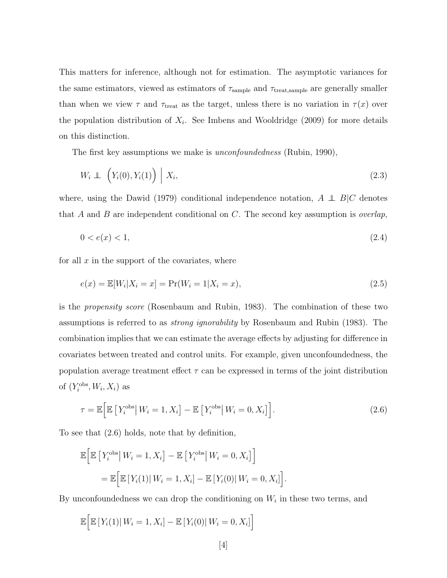This matters for inference, although not for estimation. The asymptotic variances for the same estimators, viewed as estimators of  $\tau_{\rm sample}$  and  $\tau_{\rm treat, sample}$  are generally smaller than when we view  $\tau$  and  $\tau_{\text{treat}}$  as the target, unless there is no variation in  $\tau(x)$  over the population distribution of  $X_i$ . See Imbens and Wooldridge (2009) for more details on this distinction.

The first key assumptions we make is *unconfoundedness* (Rubin, 1990),

$$
W_i \perp \left( Y_i(0), Y_i(1) \right) \mid X_i,
$$
\n
$$
(2.3)
$$

where, using the Dawid (1979) conditional independence notation,  $A \perp B|C$  denotes that A and B are independent conditional on C. The second key assumption is *overlap*,

$$
0 < e(x) < 1,\tag{2.4}
$$

for all  $x$  in the support of the covariates, where

$$
e(x) = \mathbb{E}[W_i | X_i = x] = \Pr(W_i = 1 | X_i = x), \tag{2.5}
$$

is the propensity score (Rosenbaum and Rubin, 1983). The combination of these two assumptions is referred to as strong ignorability by Rosenbaum and Rubin (1983). The combination implies that we can estimate the average effects by adjusting for difference in covariates between treated and control units. For example, given unconfoundedness, the population average treatment effect  $\tau$  can be expressed in terms of the joint distribution of  $(Y_i^{\text{obs}}, W_i, X_i)$  as

$$
\tau = \mathbb{E}\Big[\mathbb{E}\left[Y_i^{\text{obs}}\right|W_i = 1, X_i\right] - \mathbb{E}\left[Y_i^{\text{obs}}\right|W_i = 0, X_i\Big]\Big].\tag{2.6}
$$

To see that (2.6) holds, note that by definition,

$$
\mathbb{E}\Big[\mathbb{E}\left[Y_i^{\text{obs}}\middle| W_i=1, X_i\right] - \mathbb{E}\left[Y_i^{\text{obs}}\middle| W_i=0, X_i\right]\Big]
$$
  
= 
$$
\mathbb{E}\Big[\mathbb{E}\left[Y_i(1)\middle| W_i=1, X_i\right] - \mathbb{E}\left[Y_i(0)\middle| W_i=0, X_i\right]\Big].
$$

By unconfoundedness we can drop the conditioning on  $W_i$  in these two terms, and

$$
\mathbb{E}\Big[\mathbb{E}\left[Y_i(1)\right|W_i=1,X_i\right]-\mathbb{E}\left[Y_i(0)\right|W_i=0,X_i\Big]
$$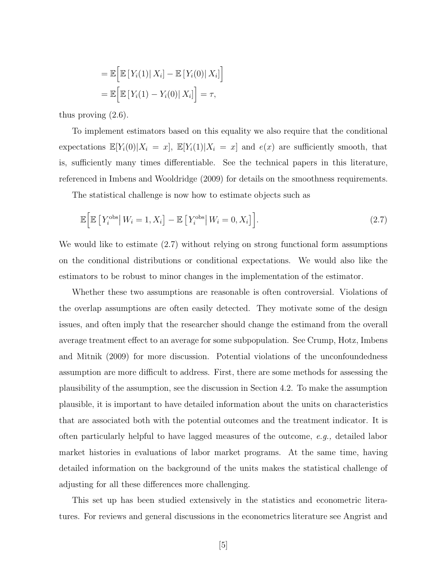$$
= \mathbb{E}\Big[\mathbb{E}\left[Y_i(1) \mid X_i\right] - \mathbb{E}\left[Y_i(0) \mid X_i\right]\Big]
$$

$$
= \mathbb{E}\Big[\mathbb{E}\left[Y_i(1) - Y_i(0) \mid X_i\right]\Big] = \tau,
$$

thus proving (2.6).

To implement estimators based on this equality we also require that the conditional expectations  $\mathbb{E}[Y_i(0)|X_i = x]$ ,  $\mathbb{E}[Y_i(1)|X_i = x]$  and  $e(x)$  are sufficiently smooth, that is, sufficiently many times differentiable. See the technical papers in this literature, referenced in Imbens and Wooldridge (2009) for details on the smoothness requirements.

The statistical challenge is now how to estimate objects such as

$$
\mathbb{E}\left[\mathbb{E}\left[Y_i^{\text{obs}}\right|W_i=1, X_i\right] - \mathbb{E}\left[Y_i^{\text{obs}}\right|W_i=0, X_i\right].\tag{2.7}
$$

We would like to estimate (2.7) without relying on strong functional form assumptions on the conditional distributions or conditional expectations. We would also like the estimators to be robust to minor changes in the implementation of the estimator.

Whether these two assumptions are reasonable is often controversial. Violations of the overlap assumptions are often easily detected. They motivate some of the design issues, and often imply that the researcher should change the estimand from the overall average treatment effect to an average for some subpopulation. See Crump, Hotz, Imbens and Mitnik (2009) for more discussion. Potential violations of the unconfoundedness assumption are more difficult to address. First, there are some methods for assessing the plausibility of the assumption, see the discussion in Section 4.2. To make the assumption plausible, it is important to have detailed information about the units on characteristics that are associated both with the potential outcomes and the treatment indicator. It is often particularly helpful to have lagged measures of the outcome, e.g., detailed labor market histories in evaluations of labor market programs. At the same time, having detailed information on the background of the units makes the statistical challenge of adjusting for all these differences more challenging.

This set up has been studied extensively in the statistics and econometric literatures. For reviews and general discussions in the econometrics literature see Angrist and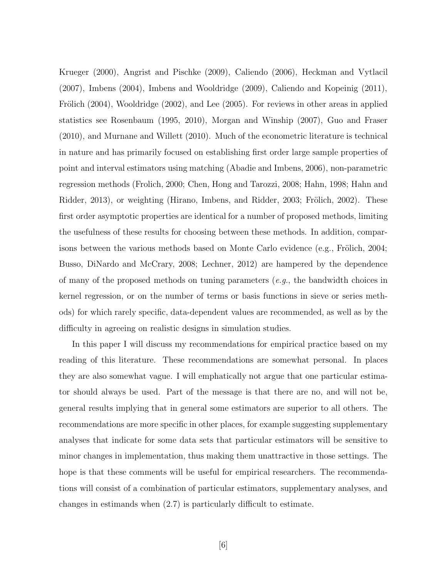Krueger (2000), Angrist and Pischke (2009), Caliendo (2006), Heckman and Vytlacil (2007), Imbens (2004), Imbens and Wooldridge (2009), Caliendo and Kopeinig (2011), Frölich (2004), Wooldridge (2002), and Lee (2005). For reviews in other areas in applied statistics see Rosenbaum (1995, 2010), Morgan and Winship (2007), Guo and Fraser (2010), and Murnane and Willett (2010). Much of the econometric literature is technical in nature and has primarily focused on establishing first order large sample properties of point and interval estimators using matching (Abadie and Imbens, 2006), non-parametric regression methods (Frolich, 2000; Chen, Hong and Tarozzi, 2008; Hahn, 1998; Hahn and Ridder, 2013), or weighting (Hirano, Imbens, and Ridder, 2003; Frölich, 2002). These first order asymptotic properties are identical for a number of proposed methods, limiting the usefulness of these results for choosing between these methods. In addition, comparisons between the various methods based on Monte Carlo evidence (e.g., Frölich, 2004; Busso, DiNardo and McCrary, 2008; Lechner, 2012) are hampered by the dependence of many of the proposed methods on tuning parameters  $(e.g.,\)$  the bandwidth choices in kernel regression, or on the number of terms or basis functions in sieve or series methods) for which rarely specific, data-dependent values are recommended, as well as by the difficulty in agreeing on realistic designs in simulation studies.

In this paper I will discuss my recommendations for empirical practice based on my reading of this literature. These recommendations are somewhat personal. In places they are also somewhat vague. I will emphatically not argue that one particular estimator should always be used. Part of the message is that there are no, and will not be, general results implying that in general some estimators are superior to all others. The recommendations are more specific in other places, for example suggesting supplementary analyses that indicate for some data sets that particular estimators will be sensitive to minor changes in implementation, thus making them unattractive in those settings. The hope is that these comments will be useful for empirical researchers. The recommendations will consist of a combination of particular estimators, supplementary analyses, and changes in estimands when (2.7) is particularly difficult to estimate.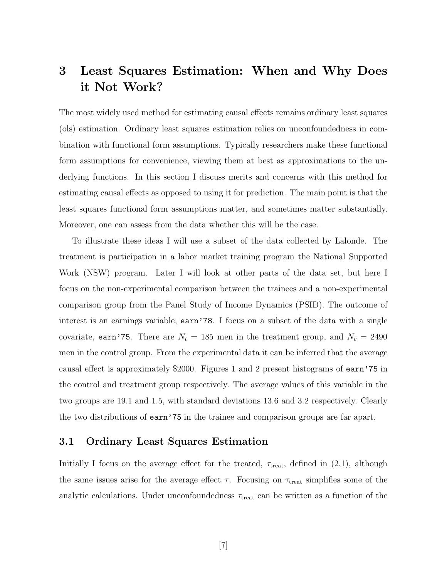## 3 Least Squares Estimation: When and Why Does it Not Work?

The most widely used method for estimating causal effects remains ordinary least squares (ols) estimation. Ordinary least squares estimation relies on unconfoundedness in combination with functional form assumptions. Typically researchers make these functional form assumptions for convenience, viewing them at best as approximations to the underlying functions. In this section I discuss merits and concerns with this method for estimating causal effects as opposed to using it for prediction. The main point is that the least squares functional form assumptions matter, and sometimes matter substantially. Moreover, one can assess from the data whether this will be the case.

To illustrate these ideas I will use a subset of the data collected by Lalonde. The treatment is participation in a labor market training program the National Supported Work (NSW) program. Later I will look at other parts of the data set, but here I focus on the non-experimental comparison between the trainees and a non-experimental comparison group from the Panel Study of Income Dynamics (PSID). The outcome of interest is an earnings variable, earn'78. I focus on a subset of the data with a single covariate, earn'75. There are  $N_t = 185$  men in the treatment group, and  $N_c = 2490$ men in the control group. From the experimental data it can be inferred that the average causal effect is approximately \$2000. Figures 1 and 2 present histograms of earn'75 in the control and treatment group respectively. The average values of this variable in the two groups are 19.1 and 1.5, with standard deviations 13.6 and 3.2 respectively. Clearly the two distributions of earn'75 in the trainee and comparison groups are far apart.

### 3.1 Ordinary Least Squares Estimation

Initially I focus on the average effect for the treated,  $\tau_{\text{treat}}$ , defined in (2.1), although the same issues arise for the average effect  $\tau$ . Focusing on  $\tau_{\text{treat}}$  simplifies some of the analytic calculations. Under unconfoundedness  $\tau_{\text{treat}}$  can be written as a function of the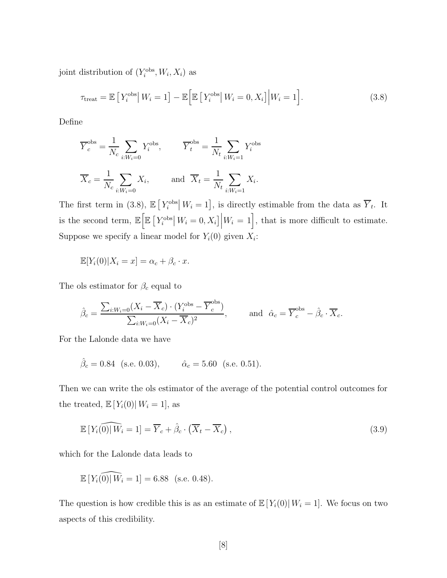joint distribution of  $(Y_i^{\text{obs}}, W_i, X_i)$  as

$$
\tau_{\text{treat}} = \mathbb{E}\left[Y_i^{\text{obs}}|W_i = 1\right] - \mathbb{E}\left[\mathbb{E}\left[Y_i^{\text{obs}}|W_i = 0, X_i\right]|W_i = 1\right].\tag{3.8}
$$

Define

$$
\overline{Y}_c^{\text{obs}} = \frac{1}{N_c} \sum_{i:W_i=0} Y_i^{\text{obs}}, \qquad \overline{Y}_t^{\text{obs}} = \frac{1}{N_t} \sum_{i:W_i=1} Y_i^{\text{obs}}
$$

$$
\overline{X}_c = \frac{1}{N_c} \sum_{i:W_i=0} X_i, \qquad \text{and } \overline{X}_t = \frac{1}{N_t} \sum_{i:W_i=1} X_i.
$$

The first term in (3.8),  $\mathbb{E}[Y_i^{\text{obs}}|W_i=1]$ , is directly estimable from the data as  $\overline{Y}_t$ . It is the second term,  $\mathbb{E}\left[\mathbb{E}\left[Y_i^{\text{obs}}\right|W_i=0, X_i\right]\Big|W_i=1\right]$ , that is more difficult to estimate. Suppose we specify a linear model for  $Y_i(0)$  given  $X_i$ :

$$
\mathbb{E}[Y_i(0)|X_i = x] = \alpha_c + \beta_c \cdot x.
$$

The ols estimator for  $\beta_c$  equal to

$$
\hat{\beta}_c = \frac{\sum_{i:W_i=0} (X_i - \overline{X}_c) \cdot (Y_i^{\text{obs}} - \overline{Y}_c^{\text{obs}})}{\sum_{i:W_i=0} (X_i - \overline{X}_c)^2}, \quad \text{and} \quad \hat{\alpha}_c = \overline{Y}_c^{\text{obs}} - \hat{\beta}_c \cdot \overline{X}_c.
$$

For the Lalonde data we have

$$
\hat{\beta}_c = 0.84
$$
 (s.e. 0.03),  $\hat{\alpha}_c = 5.60$  (s.e. 0.51).

Then we can write the ols estimator of the average of the potential control outcomes for the treated,  $\mathbb{E}[Y_i(0)| W_i = 1]$ , as

$$
\mathbb{E}\left[Y_i\widehat{(0)}|W_i=1\right]=\overline{Y}_c+\hat{\beta}_c\cdot\left(\overline{X}_t-\overline{X}_c\right),\tag{3.9}
$$

which for the Lalonde data leads to

$$
\mathbb{E}\left[Y_i(0)|W_i=1\right] = 6.88 \text{ (s.e. 0.48)}.
$$

The question is how credible this is as an estimate of  $\mathbb{E}[Y_i(0)| W_i = 1]$ . We focus on two aspects of this credibility.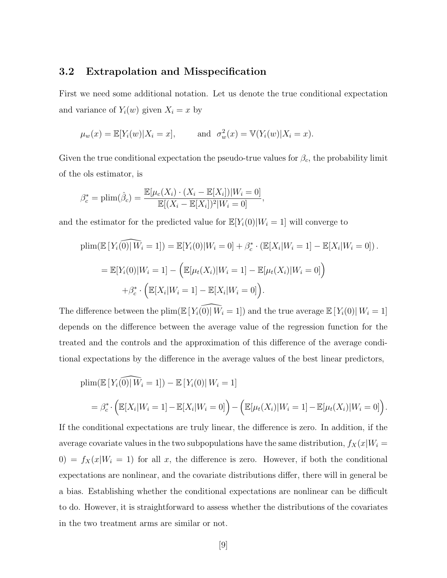### 3.2 Extrapolation and Misspecification

First we need some additional notation. Let us denote the true conditional expectation and variance of  $Y_i(w)$  given  $X_i = x$  by

$$
\mu_w(x) = \mathbb{E}[Y_i(w)|X_i = x], \quad \text{and} \quad \sigma_w^2(x) = \mathbb{V}(Y_i(w)|X_i = x).
$$

Given the true conditional expectation the pseudo-true values for  $\beta_c$ , the probability limit of the ols estimator, is

$$
\beta_c^* = \text{plim}(\hat{\beta}_c) = \frac{\mathbb{E}[\mu_c(X_i) \cdot (X_i - \mathbb{E}[X_i])|W_i = 0]}{\mathbb{E}[(X_i - \mathbb{E}[X_i])^2|W_i = 0]},
$$

and the estimator for the predicted value for  $\mathbb{E}[Y_i(0)|W_i = 1]$  will converge to

$$
\text{plim}(\mathbb{E}\left[Y_i\widehat{(0)}|W_i=1\right]) = \mathbb{E}[Y_i(0)|W_i=0] + \beta_c^* \cdot (\mathbb{E}[X_i|W_i=1] - \mathbb{E}[X_i|W_i=0]).
$$
\n
$$
= \mathbb{E}[Y_i(0)|W_i=1] - \left(\mathbb{E}[\mu_t(X_i)|W_i=1] - \mathbb{E}[\mu_t(X_i)|W_i=0]\right)
$$
\n
$$
+ \beta_c^* \cdot \left(\mathbb{E}[X_i|W_i=1] - \mathbb{E}[X_i|W_i=0]\right).
$$

The difference between the plim( $\mathbb{E}[Y_i(0)| W_i = 1]$ ) and the true average  $\mathbb{E}[Y_i(0)| W_i = 1]$ depends on the difference between the average value of the regression function for the treated and the controls and the approximation of this difference of the average conditional expectations by the difference in the average values of the best linear predictors,

$$
\begin{aligned} &\text{plim}(\mathbb{E}\left[Y_i\widehat{(0)}|W_i=1\right]) - \mathbb{E}\left[Y_i(0)|W_i=1\right] \\ &= \beta_c^* \cdot \Big(\mathbb{E}[X_i|W_i=1] - \mathbb{E}[X_i|W_i=0]\Big) - \Big(\mathbb{E}[\mu_t(X_i)|W_i=1] - \mathbb{E}[\mu_t(X_i)|W_i=0]\Big). \end{aligned}
$$

If the conditional expectations are truly linear, the difference is zero. In addition, if the average covariate values in the two subpopulations have the same distribution,  $f_X(x|W_i =$ 0) =  $f_X(x|W_i = 1)$  for all x, the difference is zero. However, if both the conditional expectations are nonlinear, and the covariate distributions differ, there will in general be a bias. Establishing whether the conditional expectations are nonlinear can be difficult to do. However, it is straightforward to assess whether the distributions of the covariates in the two treatment arms are similar or not.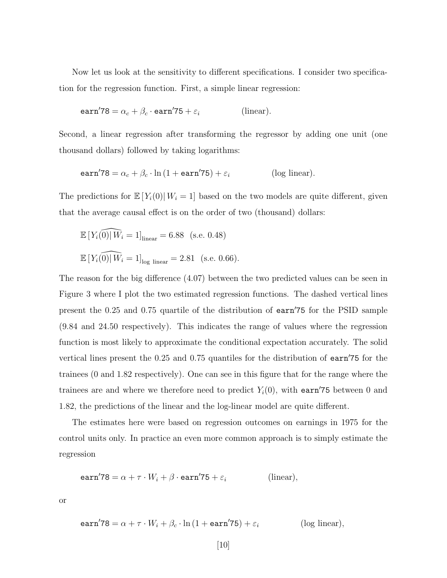Now let us look at the sensitivity to different specifications. I consider two specification for the regression function. First, a simple linear regression:

$$
earn'78 = \alpha_c + \beta_c \cdot earn'75 + \varepsilon_i
$$
 (linear).

Second, a linear regression after transforming the regressor by adding one unit (one thousand dollars) followed by taking logarithms:

$$
earn'78 = \alpha_c + \beta_c \cdot \ln\left(1 + earn'75\right) + \varepsilon_i \tag{log linear}.
$$

The predictions for  $\mathbb{E}[Y_i(0)|W_i=1]$  based on the two models are quite different, given that the average causal effect is on the order of two (thousand) dollars:

$$
\mathbb{E}\left[Y_i(0)|W_i = 1\right]_{\text{linear}} = 6.88 \quad \text{(s.e. 0.48)}
$$
\n
$$
\mathbb{E}\left[Y_i(0)|W_i = 1\right]_{\text{log linear}} = 2.81 \quad \text{(s.e. 0.66)}
$$

The reason for the big difference (4.07) between the two predicted values can be seen in Figure 3 where I plot the two estimated regression functions. The dashed vertical lines present the  $0.25$  and  $0.75$  quartile of the distribution of earn't properties for the PSID sample (9.84 and 24.50 respectively). This indicates the range of values where the regression function is most likely to approximate the conditional expectation accurately. The solid vertical lines present the  $0.25$  and  $0.75$  quantiles for the distribution of earn $\overline{75}$  for the trainees (0 and 1.82 respectively). One can see in this figure that for the range where the trainees are and where we therefore need to predict  $Y_i(0)$ , with earn'75 between 0 and 1.82, the predictions of the linear and the log-linear model are quite different.

The estimates here were based on regression outcomes on earnings in 1975 for the control units only. In practice an even more common approach is to simply estimate the regression

$$
earn'78 = \alpha + \tau \cdot W_i + \beta \cdot earn'75 + \varepsilon_i
$$
 (linear),

or

$$
earn'78 = \alpha + \tau \cdot W_i + \beta_c \cdot \ln(1 + earn'75) + \varepsilon_i \qquad (log linear),
$$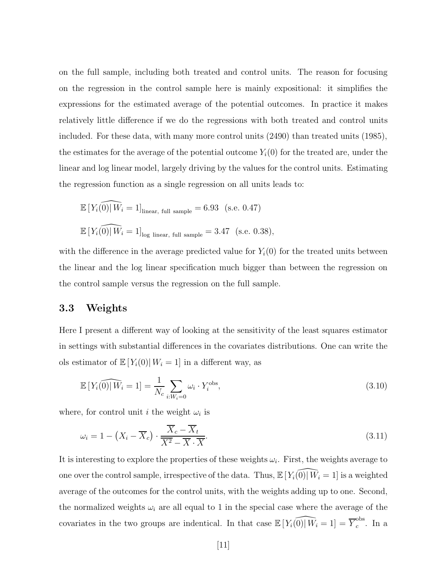on the full sample, including both treated and control units. The reason for focusing on the regression in the control sample here is mainly expositional: it simplifies the expressions for the estimated average of the potential outcomes. In practice it makes relatively little difference if we do the regressions with both treated and control units included. For these data, with many more control units (2490) than treated units (1985), the estimates for the average of the potential outcome  $Y_i(0)$  for the treated are, under the linear and log linear model, largely driving by the values for the control units. Estimating the regression function as a single regression on all units leads to:

$$
\mathbb{E}\left[Y_i(\widehat{0})|W_i=1\right]_{\text{linear, full sample}} = 6.93 \quad \text{(s.e. 0.47)}
$$
\n
$$
\mathbb{E}\left[Y_i(\widehat{0})|W_i=1\right]_{\text{log linear, full sample}} = 3.47 \quad \text{(s.e. 0.38)}
$$

with the difference in the average predicted value for  $Y_i(0)$  for the treated units between the linear and the log linear specification much bigger than between the regression on the control sample versus the regression on the full sample.

### 3.3 Weights

Here I present a different way of looking at the sensitivity of the least squares estimator in settings with substantial differences in the covariates distributions. One can write the ols estimator of  $\mathbb{E}[Y_i(0)| W_i = 1]$  in a different way, as

$$
\mathbb{E}\left[Y_i\widehat{(0)}\middle|\overline{W}_i=1\right] = \frac{1}{N_c} \sum_{i:W_i=0} \omega_i \cdot Y_i^{\text{obs}},\tag{3.10}
$$

where, for control unit *i* the weight  $\omega_i$  is

$$
\omega_i = 1 - \left(X_i - \overline{X}_c\right) \cdot \frac{\overline{X}_c - \overline{X}_t}{\overline{X^2} - \overline{X} \cdot \overline{X}}.
$$
\n(3.11)

It is interesting to explore the properties of these weights  $\omega_i$ . First, the weights average to one over the control sample, irrespective of the data. Thus,  $\mathbb{E}[Y_i(0)|\overline{W}_i = 1]$  is a weighted average of the outcomes for the control units, with the weights adding up to one. Second, the normalized weights  $\omega_i$  are all equal to 1 in the special case where the average of the covariates in the two groups are indentical. In that case  $\mathbb{E}[Y_i(0)|W_i = 1] = \overline{Y}_c^{\text{obs}}$  $_c^{\rm obs}$ . In a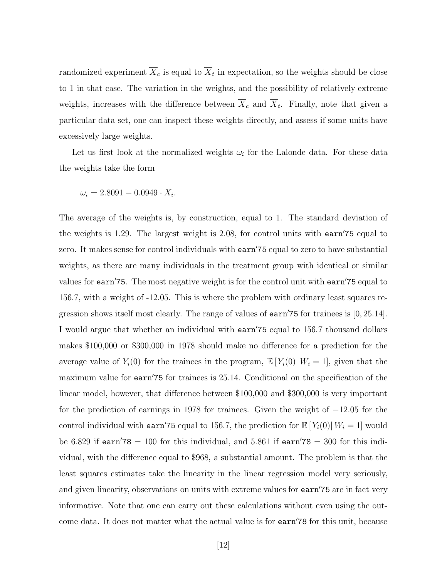randomized experiment  $X_c$  is equal to  $X_t$  in expectation, so the weights should be close to 1 in that case. The variation in the weights, and the possibility of relatively extreme weights, increases with the difference between  $X_c$  and  $X_t$ . Finally, note that given a particular data set, one can inspect these weights directly, and assess if some units have excessively large weights.

Let us first look at the normalized weights  $\omega_i$  for the Lalonde data. For these data the weights take the form

$$
\omega_i = 2.8091 - 0.0949 \cdot X_i.
$$

The average of the weights is, by construction, equal to 1. The standard deviation of the weights is 1.29. The largest weight is 2.08, for control units with  $\epsilon$  equal to zero. It makes sense for control individuals with earn'75 equal to zero to have substantial weights, as there are many individuals in the treatment group with identical or similar values for earn'75. The most negative weight is for the control unit with earn'75 equal to 156.7, with a weight of -12.05. This is where the problem with ordinary least squares regression shows itself most clearly. The range of values of  $\text{earn}'75$  for trainees is  $[0, 25.14]$ . I would argue that whether an individual with earn't sequal to 156.7 thousand dollars makes \$100,000 or \$300,000 in 1978 should make no difference for a prediction for the average value of  $Y_i(0)$  for the trainees in the program,  $\mathbb{E}[Y_i(0)|W_i=1]$ , given that the maximum value for  $\text{earn}'75$  for trainees is 25.14. Conditional on the specification of the linear model, however, that difference between \$100,000 and \$300,000 is very important for the prediction of earnings in 1978 for trainees. Given the weight of −12.05 for the control individual with earn'75 equal to 156.7, the prediction for  $\mathbb{E}[Y_i(0)| W_i = 1]$  would be 6.829 if earn'78 = 100 for this individual, and 5.861 if earn'78 = 300 for this individual, with the difference equal to \$968, a substantial amount. The problem is that the least squares estimates take the linearity in the linear regression model very seriously, and given linearity, observations on units with extreme values for earn'75 are in fact very informative. Note that one can carry out these calculations without even using the outcome data. It does not matter what the actual value is for earn'78 for this unit, because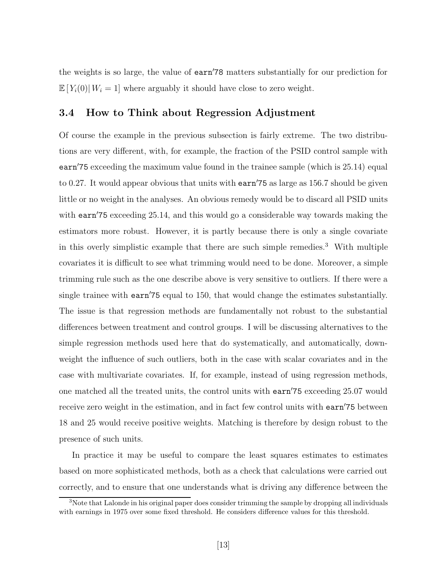the weights is so large, the value of earn'78 matters substantially for our prediction for  $\mathbb{E}[Y_i(0)| W_i = 1]$  where arguably it should have close to zero weight.

### 3.4 How to Think about Regression Adjustment

Of course the example in the previous subsection is fairly extreme. The two distributions are very different, with, for example, the fraction of the PSID control sample with earn't exceeding the maximum value found in the trainee sample (which is  $25.14$ ) equal to 0.27. It would appear obvious that units with  $\text{earn}'75$  as large as 156.7 should be given little or no weight in the analyses. An obvious remedy would be to discard all PSID units with earn<sup> $75$ </sup> exceeding 25.14, and this would go a considerable way towards making the estimators more robust. However, it is partly because there is only a single covariate in this overly simplistic example that there are such simple remedies.<sup>3</sup> With multiple covariates it is difficult to see what trimming would need to be done. Moreover, a simple trimming rule such as the one describe above is very sensitive to outliers. If there were a single trainee with  $\text{earn}'$ 75 equal to 150, that would change the estimates substantially. The issue is that regression methods are fundamentally not robust to the substantial differences between treatment and control groups. I will be discussing alternatives to the simple regression methods used here that do systematically, and automatically, downweight the influence of such outliers, both in the case with scalar covariates and in the case with multivariate covariates. If, for example, instead of using regression methods, one matched all the treated units, the control units with earn't exceeding 25.07 would receive zero weight in the estimation, and in fact few control units with earn'75 between 18 and 25 would receive positive weights. Matching is therefore by design robust to the presence of such units.

In practice it may be useful to compare the least squares estimates to estimates based on more sophisticated methods, both as a check that calculations were carried out correctly, and to ensure that one understands what is driving any difference between the

<sup>&</sup>lt;sup>3</sup>Note that Lalonde in his original paper does consider trimming the sample by dropping all individuals with earnings in 1975 over some fixed threshold. He considers difference values for this threshold.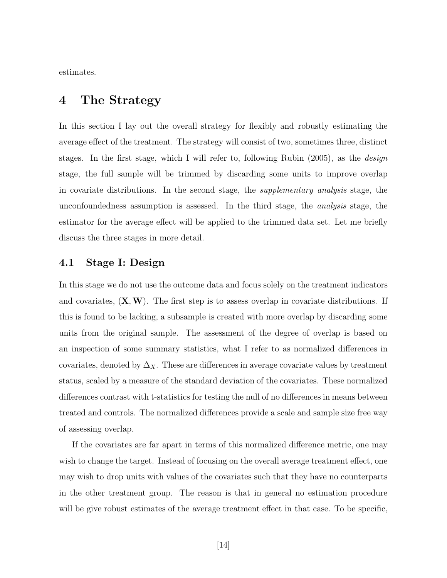estimates.

## 4 The Strategy

In this section I lay out the overall strategy for flexibly and robustly estimating the average effect of the treatment. The strategy will consist of two, sometimes three, distinct stages. In the first stage, which I will refer to, following Rubin (2005), as the design stage, the full sample will be trimmed by discarding some units to improve overlap in covariate distributions. In the second stage, the supplementary analysis stage, the unconfoundedness assumption is assessed. In the third stage, the analysis stage, the estimator for the average effect will be applied to the trimmed data set. Let me briefly discuss the three stages in more detail.

### 4.1 Stage I: Design

In this stage we do not use the outcome data and focus solely on the treatment indicators and covariates,  $(X, W)$ . The first step is to assess overlap in covariate distributions. If this is found to be lacking, a subsample is created with more overlap by discarding some units from the original sample. The assessment of the degree of overlap is based on an inspection of some summary statistics, what I refer to as normalized differences in covariates, denoted by  $\Delta_X$ . These are differences in average covariate values by treatment status, scaled by a measure of the standard deviation of the covariates. These normalized differences contrast with t-statistics for testing the null of no differences in means between treated and controls. The normalized differences provide a scale and sample size free way of assessing overlap.

If the covariates are far apart in terms of this normalized difference metric, one may wish to change the target. Instead of focusing on the overall average treatment effect, one may wish to drop units with values of the covariates such that they have no counterparts in the other treatment group. The reason is that in general no estimation procedure will be give robust estimates of the average treatment effect in that case. To be specific,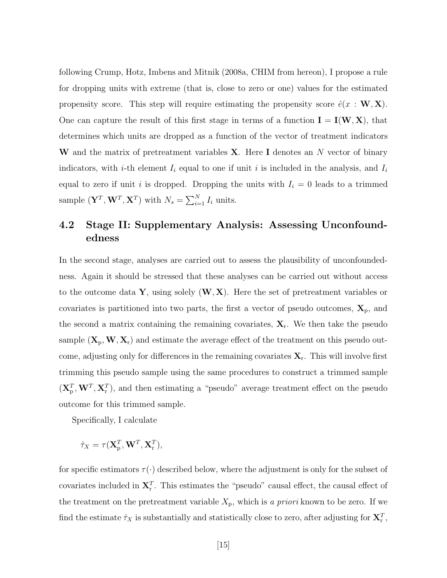following Crump, Hotz, Imbens and Mitnik (2008a, CHIM from hereon), I propose a rule for dropping units with extreme (that is, close to zero or one) values for the estimated propensity score. This step will require estimating the propensity score  $\hat{e}(x : \mathbf{W}, \mathbf{X})$ . One can capture the result of this first stage in terms of a function  $I = I(W, X)$ , that determines which units are dropped as a function of the vector of treatment indicators W and the matrix of pretreatment variables  $X$ . Here I denotes an N vector of binary indicators, with *i*-th element  $I_i$  equal to one if unit *i* is included in the analysis, and  $I_i$ equal to zero if unit i is dropped. Dropping the units with  $I_i = 0$  leads to a trimmed sample  $(\mathbf{Y}^T, \mathbf{W}^T, \mathbf{X}^T)$  with  $N_s = \sum_{i=1}^N I_i$  units.

## 4.2 Stage II: Supplementary Analysis: Assessing Unconfoundedness

In the second stage, analyses are carried out to assess the plausibility of unconfoundedness. Again it should be stressed that these analyses can be carried out without access to the outcome data Y, using solely  $(W, X)$ . Here the set of pretreatment variables or covariates is partitioned into two parts, the first a vector of pseudo outcomes,  $\mathbf{X}_{p}$ , and the second a matrix containing the remaining covariates,  $\mathbf{X}_r$ . We then take the pseudo sample  $(X_p, W, X_r)$  and estimate the average effect of the treatment on this pseudo outcome, adjusting only for differences in the remaining covariates  $X_r$ . This will involve first trimming this pseudo sample using the same procedures to construct a trimmed sample  $(\mathbf{X}_{\text{p}}^T, \mathbf{W}^T, \mathbf{X}_{\text{r}}^T)$ , and then estimating a "pseudo" average treatment effect on the pseudo outcome for this trimmed sample.

Specifically, I calculate

 $\hat{\tau}_X = \tau(\mathbf{X}_{\text{p}}^{T}, \mathbf{W}^{T}, \mathbf{X}_{\text{r}}^{T}),$ 

for specific estimators  $\tau(\cdot)$  described below, where the adjustment is only for the subset of covariates included in  $X_r^T$ . This estimates the "pseudo" causal effect, the causal effect of the treatment on the pretreatment variable  $X_p$ , which is a priori known to be zero. If we find the estimate  $\hat{\tau}_X$  is substantially and statistically close to zero, after adjusting for  $\mathbf{X}_r^T$ ,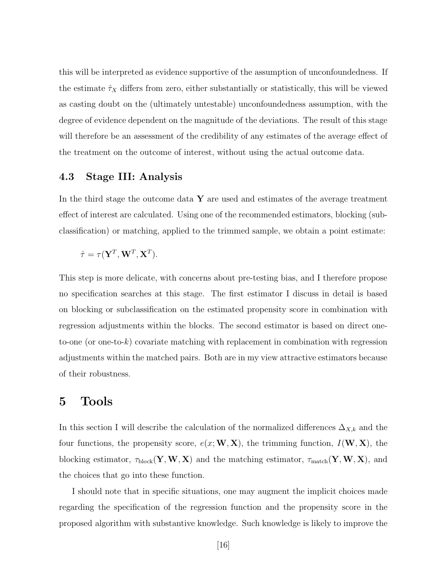this will be interpreted as evidence supportive of the assumption of unconfoundedness. If the estimate  $\hat{\tau}_X$  differs from zero, either substantially or statistically, this will be viewed as casting doubt on the (ultimately untestable) unconfoundedness assumption, with the degree of evidence dependent on the magnitude of the deviations. The result of this stage will therefore be an assessment of the credibility of any estimates of the average effect of the treatment on the outcome of interest, without using the actual outcome data.

### 4.3 Stage III: Analysis

In the third stage the outcome data  $\bf{Y}$  are used and estimates of the average treatment effect of interest are calculated. Using one of the recommended estimators, blocking (subclassification) or matching, applied to the trimmed sample, we obtain a point estimate:

$$
\hat{\tau} = \tau(\mathbf{Y}^T, \mathbf{W}^T, \mathbf{X}^T).
$$

This step is more delicate, with concerns about pre-testing bias, and I therefore propose no specification searches at this stage. The first estimator I discuss in detail is based on blocking or subclassification on the estimated propensity score in combination with regression adjustments within the blocks. The second estimator is based on direct oneto-one (or one-to-k) covariate matching with replacement in combination with regression adjustments within the matched pairs. Both are in my view attractive estimators because of their robustness.

## 5 Tools

In this section I will describe the calculation of the normalized differences  $\Delta_{X,k}$  and the four functions, the propensity score,  $e(x; W, X)$ , the trimming function,  $I(W, X)$ , the blocking estimator,  $\tau_{\text{block}}(Y, W, X)$  and the matching estimator,  $\tau_{\text{match}}(Y, W, X)$ , and the choices that go into these function.

I should note that in specific situations, one may augment the implicit choices made regarding the specification of the regression function and the propensity score in the proposed algorithm with substantive knowledge. Such knowledge is likely to improve the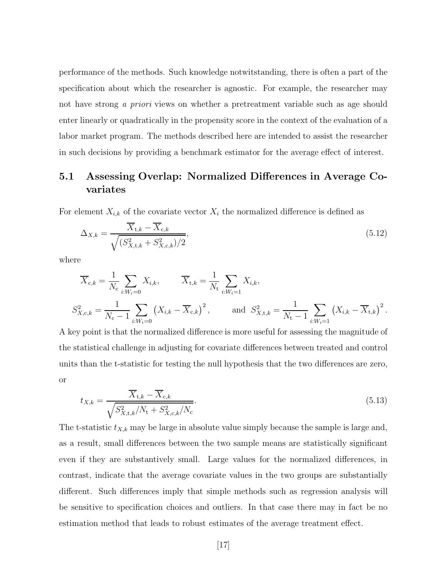performance of the methods. Such knowledge notwitstanding, there is often a part of the specification about which the researcher is agnostic. For example, the researcher may not have strong a priori views on whether a pretreatment variable such as age should enter linearly or quadratically in the propensity score in the context of the evaluation of a labor market program. The methods described here are intended to assist the researcher in such decisions by providing a benchmark estimator for the average effect of interest.

## 5.1 Assessing Overlap: Normalized Differences in Average Covariates

For element  $X_{i,k}$  of the covariate vector  $X_i$  the normalized difference is defined as

$$
\Delta_{X,k} = \frac{\overline{X}_{t,k} - \overline{X}_{c,k}}{\sqrt{(S_{X,t,k}^2 + S_{X,c,k}^2)/2}},\tag{5.12}
$$

where

$$
\overline{X}_{c,k} = \frac{1}{N_c} \sum_{i:W_i=0} X_{i,k}, \qquad \overline{X}_{t,k} = \frac{1}{N_t} \sum_{i:W_i=1} X_{i,k},
$$
\n
$$
S_{X,c,k}^2 = \frac{1}{N_c - 1} \sum_{i:W_i=0} (X_{i,k} - \overline{X}_{c,k})^2, \qquad \text{and} \quad S_{X,t,k}^2 = \frac{1}{N_t - 1} \sum_{i:W_i=1} (X_{i,k} - \overline{X}_{t,k})^2.
$$

A key point is that the normalized difference is more useful for assessing the magnitude of the statistical challenge in adjusting for covariate differences between treated and control units than the t-statistic for testing the null hypothesis that the two differences are zero, or

$$
t_{X,k} = \frac{\overline{X}_{t,k} - \overline{X}_{c,k}}{\sqrt{S_{X,t,k}^2/N_t + S_{X,c,k}^2/N_c}}.
$$
\n(5.13)

The t-statistic  $t_{X,k}$  may be large in absolute value simply because the sample is large and, as a result, small differences between the two sample means are statistically significant even if they are substantively small. Large values for the normalized differences, in contrast, indicate that the average covariate values in the two groups are substantially different. Such differences imply that simple methods such as regression analysis will be sensitive to specification choices and outliers. In that case there may in fact be no estimation method that leads to robust estimates of the average treatment effect.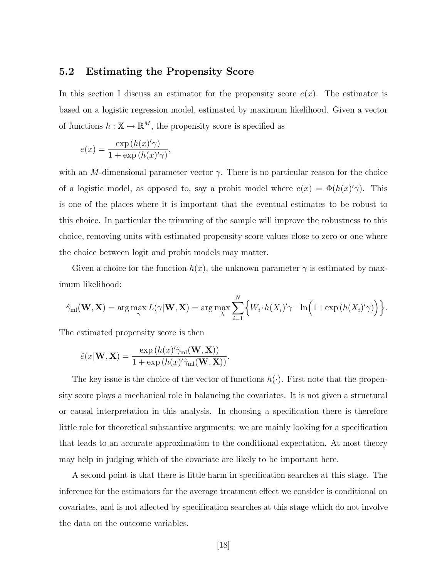### 5.2 Estimating the Propensity Score

In this section I discuss an estimator for the propensity score  $e(x)$ . The estimator is based on a logistic regression model, estimated by maximum likelihood. Given a vector of functions  $h : \mathbb{X} \mapsto \mathbb{R}^M$ , the propensity score is specified as

$$
e(x) = \frac{\exp\left(h(x)'\gamma\right)}{1 + \exp\left(h(x)'\gamma\right)},
$$

with an M-dimensional parameter vector  $\gamma$ . There is no particular reason for the choice of a logistic model, as opposed to, say a probit model where  $e(x) = \Phi(h(x)'\gamma)$ . This is one of the places where it is important that the eventual estimates to be robust to this choice. In particular the trimming of the sample will improve the robustness to this choice, removing units with estimated propensity score values close to zero or one where the choice between logit and probit models may matter.

Given a choice for the function  $h(x)$ , the unknown parameter  $\gamma$  is estimated by maximum likelihood:

$$
\hat{\gamma}_{\text{ml}}(\mathbf{W}, \mathbf{X}) = \arg \max_{\gamma} L(\gamma | \mathbf{W}, \mathbf{X}) = \arg \max_{\lambda} \sum_{i=1}^{N} \Big\{ W_i \cdot h(X_i)' \gamma - \ln \Big( 1 + \exp \big( h(X_i)'\gamma \big) \Big) \Big\}.
$$

The estimated propensity score is then

$$
\hat{e}(x|\mathbf{W}, \mathbf{X}) = \frac{\exp\left(h(x)'\hat{\gamma}_{\mathrm{ml}}(\mathbf{W}, \mathbf{X})\right)}{1 + \exp\left(h(x)'\hat{\gamma}_{\mathrm{ml}}(\mathbf{W}, \mathbf{X})\right)}.
$$

The key issue is the choice of the vector of functions  $h(\cdot)$ . First note that the propensity score plays a mechanical role in balancing the covariates. It is not given a structural or causal interpretation in this analysis. In choosing a specification there is therefore little role for theoretical substantive arguments: we are mainly looking for a specification that leads to an accurate approximation to the conditional expectation. At most theory may help in judging which of the covariate are likely to be important here.

A second point is that there is little harm in specification searches at this stage. The inference for the estimators for the average treatment effect we consider is conditional on covariates, and is not affected by specification searches at this stage which do not involve the data on the outcome variables.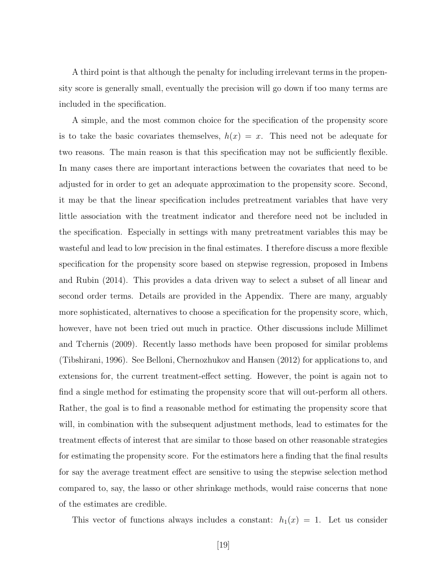A third point is that although the penalty for including irrelevant terms in the propensity score is generally small, eventually the precision will go down if too many terms are included in the specification.

A simple, and the most common choice for the specification of the propensity score is to take the basic covariates themselves,  $h(x) = x$ . This need not be adequate for two reasons. The main reason is that this specification may not be sufficiently flexible. In many cases there are important interactions between the covariates that need to be adjusted for in order to get an adequate approximation to the propensity score. Second, it may be that the linear specification includes pretreatment variables that have very little association with the treatment indicator and therefore need not be included in the specification. Especially in settings with many pretreatment variables this may be wasteful and lead to low precision in the final estimates. I therefore discuss a more flexible specification for the propensity score based on stepwise regression, proposed in Imbens and Rubin (2014). This provides a data driven way to select a subset of all linear and second order terms. Details are provided in the Appendix. There are many, arguably more sophisticated, alternatives to choose a specification for the propensity score, which, however, have not been tried out much in practice. Other discussions include Millimet and Tchernis (2009). Recently lasso methods have been proposed for similar problems (Tibshirani, 1996). See Belloni, Chernozhukov and Hansen (2012) for applications to, and extensions for, the current treatment-effect setting. However, the point is again not to find a single method for estimating the propensity score that will out-perform all others. Rather, the goal is to find a reasonable method for estimating the propensity score that will, in combination with the subsequent adjustment methods, lead to estimates for the treatment effects of interest that are similar to those based on other reasonable strategies for estimating the propensity score. For the estimators here a finding that the final results for say the average treatment effect are sensitive to using the stepwise selection method compared to, say, the lasso or other shrinkage methods, would raise concerns that none of the estimates are credible.

This vector of functions always includes a constant:  $h_1(x) = 1$ . Let us consider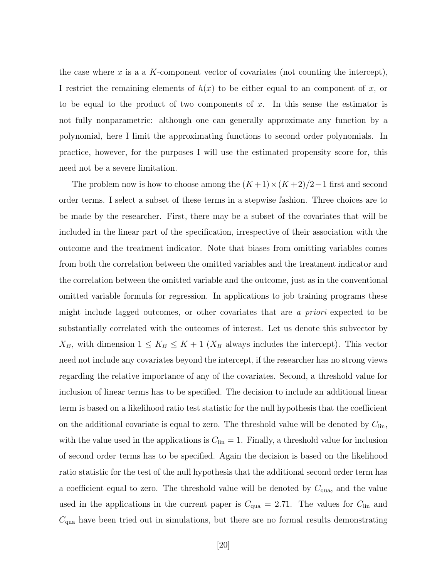the case where x is a a K-component vector of covariates (not counting the intercept), I restrict the remaining elements of  $h(x)$  to be either equal to an component of x, or to be equal to the product of two components of  $x$ . In this sense the estimator is not fully nonparametric: although one can generally approximate any function by a polynomial, here I limit the approximating functions to second order polynomials. In practice, however, for the purposes I will use the estimated propensity score for, this need not be a severe limitation.

The problem now is how to choose among the  $(K+1) \times (K+2)/2-1$  first and second order terms. I select a subset of these terms in a stepwise fashion. Three choices are to be made by the researcher. First, there may be a subset of the covariates that will be included in the linear part of the specification, irrespective of their association with the outcome and the treatment indicator. Note that biases from omitting variables comes from both the correlation between the omitted variables and the treatment indicator and the correlation between the omitted variable and the outcome, just as in the conventional omitted variable formula for regression. In applications to job training programs these might include lagged outcomes, or other covariates that are a priori expected to be substantially correlated with the outcomes of interest. Let us denote this subvector by  $X_B$ , with dimension  $1 \leq K_B \leq K+1$  ( $X_B$  always includes the intercept). This vector need not include any covariates beyond the intercept, if the researcher has no strong views regarding the relative importance of any of the covariates. Second, a threshold value for inclusion of linear terms has to be specified. The decision to include an additional linear term is based on a likelihood ratio test statistic for the null hypothesis that the coefficient on the additional covariate is equal to zero. The threshold value will be denoted by  $C_{lin}$ , with the value used in the applications is  $C_{lin} = 1$ . Finally, a threshold value for inclusion of second order terms has to be specified. Again the decision is based on the likelihood ratio statistic for the test of the null hypothesis that the additional second order term has a coefficient equal to zero. The threshold value will be denoted by  $C_{\text{qua}}$ , and the value used in the applications in the current paper is  $C_{\text{qua}} = 2.71$ . The values for  $C_{\text{lin}}$  and  $C_{\text{qua}}$  have been tried out in simulations, but there are no formal results demonstrating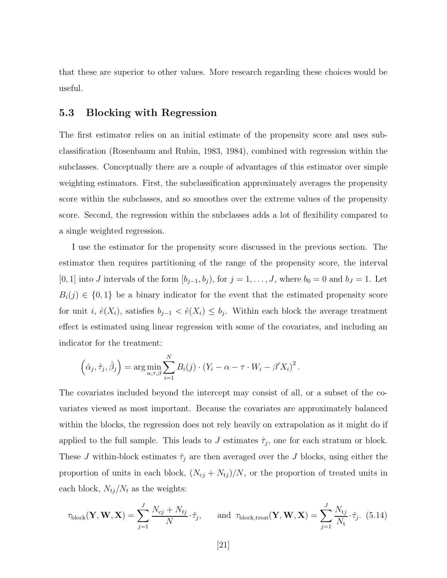that these are superior to other values. More research regarding these choices would be useful.

### 5.3 Blocking with Regression

The first estimator relies on an initial estimate of the propensity score and uses subclassification (Rosenbaum and Rubin, 1983, 1984), combined with regression within the subclasses. Conceptually there are a couple of advantages of this estimator over simple weighting estimators. First, the subclassification approximately averages the propensity score within the subclasses, and so smoothes over the extreme values of the propensity score. Second, the regression within the subclasses adds a lot of flexibility compared to a single weighted regression.

I use the estimator for the propensity score discussed in the previous section. The estimator then requires partitioning of the range of the propensity score, the interval [0, 1] into J intervals of the form  $[b_{j-1}, b_j)$ , for  $j = 1, \ldots, J$ , where  $b_0 = 0$  and  $b_J = 1$ . Let  $B_i(j) \in \{0,1\}$  be a binary indicator for the event that the estimated propensity score for unit i,  $\hat{e}(X_i)$ , satisfies  $b_{j-1} < \hat{e}(X_i) \leq b_j$ . Within each block the average treatment effect is estimated using linear regression with some of the covariates, and including an indicator for the treatment:

$$
\left(\hat{\alpha}_j, \hat{\tau}_j, \hat{\beta}_j\right) = \arg\min_{\alpha, \tau, \beta} \sum_{i=1}^N B_i(j) \cdot \left(Y_i - \alpha - \tau \cdot W_i - \beta' X_i\right)^2.
$$

The covariates included beyond the intercept may consist of all, or a subset of the covariates viewed as most important. Because the covariates are approximately balanced within the blocks, the regression does not rely heavily on extrapolation as it might do if applied to the full sample. This leads to J estimates  $\hat{\tau}_j$ , one for each stratum or block. These J within-block estimates  $\hat{\tau}_j$  are then averaged over the J blocks, using either the proportion of units in each block,  $(N_{cj} + N_{tj})/N$ , or the proportion of treated units in each block,  $N_{tj}/N_t$  as the weights:

$$
\tau_{\text{block}}(\mathbf{Y}, \mathbf{W}, \mathbf{X}) = \sum_{j=1}^{J} \frac{N_{cj} + N_{tj}}{N} \cdot \hat{\tau}_j, \quad \text{and } \tau_{\text{block,treat}}(\mathbf{Y}, \mathbf{W}, \mathbf{X}) = \sum_{j=1}^{J} \frac{N_{tj}}{N_t} \cdot \hat{\tau}_j. \tag{5.14}
$$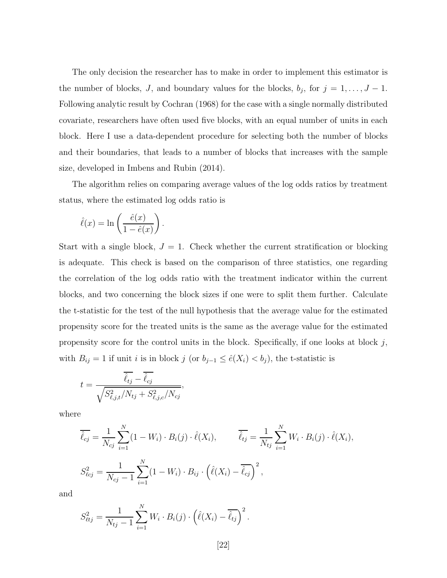The only decision the researcher has to make in order to implement this estimator is the number of blocks, J, and boundary values for the blocks,  $b_j$ , for  $j = 1, \ldots, J - 1$ . Following analytic result by Cochran (1968) for the case with a single normally distributed covariate, researchers have often used five blocks, with an equal number of units in each block. Here I use a data-dependent procedure for selecting both the number of blocks and their boundaries, that leads to a number of blocks that increases with the sample size, developed in Imbens and Rubin (2014).

The algorithm relies on comparing average values of the log odds ratios by treatment status, where the estimated log odds ratio is

$$
\hat{\ell}(x) = \ln\left(\frac{\hat{e}(x)}{1 - \hat{e}(x)}\right).
$$

Start with a single block,  $J = 1$ . Check whether the current stratification or blocking is adequate. This check is based on the comparison of three statistics, one regarding the correlation of the log odds ratio with the treatment indicator within the current blocks, and two concerning the block sizes if one were to split them further. Calculate the t-statistic for the test of the null hypothesis that the average value for the estimated propensity score for the treated units is the same as the average value for the estimated propensity score for the control units in the block. Specifically, if one looks at block  $j$ , with  $B_{ij} = 1$  if unit *i* is in block j (or  $b_{j-1} \leq \hat{e}(X_i) < b_j$ ), the t-statistic is

$$
t = \frac{\overline{\hat{\ell}_{tj}} - \overline{\hat{\ell}_{cj}}}{\sqrt{S_{\ell,j,t}^2/N_{tj} + S_{\ell,j,c}^2/N_{cj}}}
$$

where

$$
\overline{\hat{\ell}_{cj}} = \frac{1}{N_{cj}} \sum_{i=1}^{N} (1 - W_i) \cdot B_i(j) \cdot \hat{\ell}(X_i), \qquad \overline{\hat{\ell}_{tj}} = \frac{1}{N_{tj}} \sum_{i=1}^{N} W_i \cdot B_i(j) \cdot \hat{\ell}(X_i),
$$
  

$$
S_{\ell cj}^2 = \frac{1}{N_{cj} - 1} \sum_{i=1}^{N} (1 - W_i) \cdot B_{ij} \cdot (\hat{\ell}(X_i) - \overline{\hat{\ell}_{cj}})^2,
$$

and

$$
S_{\ell t j}^{2} = \frac{1}{N_{t j} - 1} \sum_{i=1}^{N} W_{i} \cdot B_{i}(j) \cdot (\hat{\ell}(X_{i}) - \overline{\hat{\ell}_{t j}})^{2}.
$$

,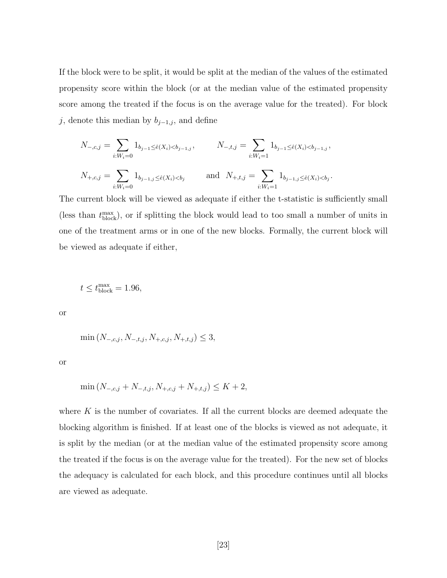If the block were to be split, it would be split at the median of the values of the estimated propensity score within the block (or at the median value of the estimated propensity score among the treated if the focus is on the average value for the treated). For block j, denote this median by  $b_{j-1,j}$ , and define

$$
N_{-,c,j} = \sum_{i:W_i=0} 1_{b_{j-1} \le \hat{e}(X_i) < b_{j-1,j}, \qquad N_{-,t,j} = \sum_{i:W_i=1} 1_{b_{j-1} \le \hat{e}(X_i) < b_{j-1,j},}
$$
\n
$$
N_{+,c,j} = \sum_{i:W_i=0} 1_{b_{j-1,j} \le \hat{e}(X_i) < b_j \qquad \text{and} \quad N_{+,t,j} = \sum_{i:W_i=1} 1_{b_{j-1,j} \le \hat{e}(X_i) < b_j}.
$$

The current block will be viewed as adequate if either the t-statistic is sufficiently small (less than  $t_{\text{block}}^{\text{max}}$ ), or if splitting the block would lead to too small a number of units in one of the treatment arms or in one of the new blocks. Formally, the current block will be viewed as adequate if either,

$$
t \le t_{\text{block}}^{\text{max}} = 1.96,
$$

or

$$
\min\left(N_{-,c,j}, N_{-,t,j}, N_{+,c,j}, N_{+,t,j}\right) \leq 3,
$$

or

$$
\min\left(N_{-,c,j} + N_{-,t,j}, N_{+,c,j} + N_{+,t,j}\right) \le K + 2,
$$

where  $K$  is the number of covariates. If all the current blocks are deemed adequate the blocking algorithm is finished. If at least one of the blocks is viewed as not adequate, it is split by the median (or at the median value of the estimated propensity score among the treated if the focus is on the average value for the treated). For the new set of blocks the adequacy is calculated for each block, and this procedure continues until all blocks are viewed as adequate.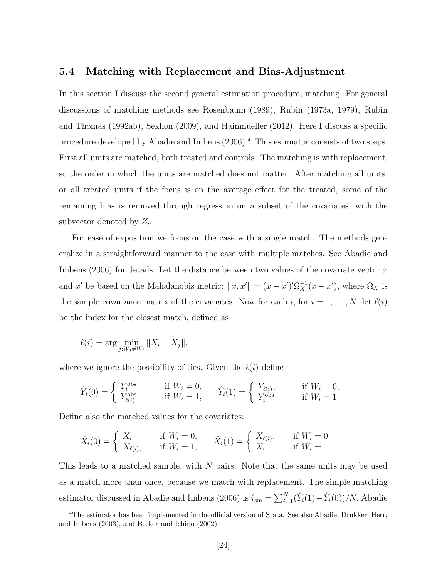### 5.4 Matching with Replacement and Bias-Adjustment

In this section I discuss the second general estimation procedure, matching. For general discussions of matching methods see Rosenbaum (1989), Rubin (1973a, 1979), Rubin and Thomas (1992ab), Sekhon (2009), and Hainmueller (2012). Here I discuss a specific procedure developed by Abadie and Imbens (2006).<sup>4</sup> This estimator consists of two steps. First all units are matched, both treated and controls. The matching is with replacement, so the order in which the units are matched does not matter. After matching all units, or all treated units if the focus is on the average effect for the treated, some of the remaining bias is removed through regression on a subset of the covariates, with the subvector denoted by  $Z_i$ .

For ease of exposition we focus on the case with a single match. The methods generalize in a straightforward manner to the case with multiple matches. See Abadie and Imbens  $(2006)$  for details. Let the distance between two values of the covariate vector x and x' be based on the Mahalanobis metric:  $||x, x'|| = (x - x')'\hat{\Omega}_X^{-1}(x - x')$ , where  $\hat{\Omega}_X$  is the sample covariance matrix of the covariates. Now for each i, for  $i = 1, ..., N$ , let  $\ell(i)$ be the index for the closest match, defined as

$$
\ell(i) = \arg\min_{j: W_j \neq W_i} \|X_i - X_j\|,
$$

where we ignore the possibility of ties. Given the  $\ell(i)$  define

$$
\hat{Y}_i(0) = \begin{cases}\nY_i^{\text{obs}} & \text{if } W_i = 0, \\
Y_{\ell(i)}^{\text{obs}} & \text{if } W_i = 1,\n\end{cases}\n\quad\n\hat{Y}_i(1) = \begin{cases}\nY_{\ell(i)}, & \text{if } W_i = 0, \\
Y_i^{\text{obs}} & \text{if } W_i = 1.\n\end{cases}
$$

Define also the matched values for the covariates:

$$
\hat{X}_i(0) = \begin{cases} X_i & \text{if } W_i = 0, \\ X_{\ell(i)}, & \text{if } W_i = 1, \end{cases} \qquad \hat{X}_i(1) = \begin{cases} X_{\ell(i)}, & \text{if } W_i = 0, \\ X_i & \text{if } W_i = 1. \end{cases}
$$

This leads to a matched sample, with  $N$  pairs. Note that the same units may be used as a match more than once, because we match with replacement. The simple matching estimator discussed in Abadie and Imbens (2006) is  $\hat{\tau}_{\rm sm} = \sum_{i=1}^{N} (\hat{Y}_i(1) - \hat{Y}_i(0))/N$ . Abadie

<sup>4</sup>The estimator has been implemented in the official version of Stata. See also Abadie, Drukker, Herr, and Imbens (2003), and Becker and Ichino (2002).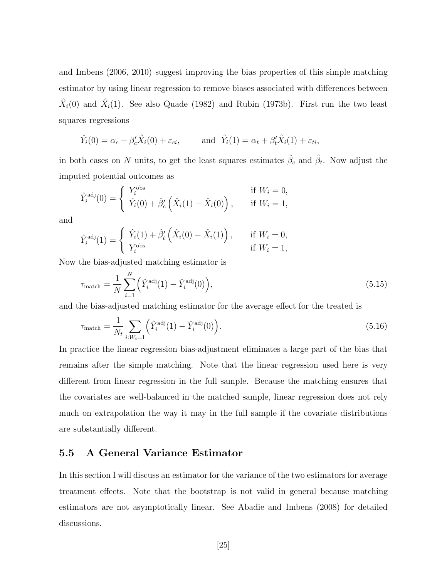and Imbens (2006, 2010) suggest improving the bias properties of this simple matching estimator by using linear regression to remove biases associated with differences between  $\hat{X}_i(0)$  and  $\hat{X}_i(1)$ . See also Quade (1982) and Rubin (1973b). First run the two least squares regressions

$$
\hat{Y}_i(0) = \alpha_c + \beta_c' \hat{X}_i(0) + \varepsilon_{ci},
$$
 and  $\hat{Y}_i(1) = \alpha_t + \beta_t' \hat{X}_i(1) + \varepsilon_{ti},$ 

in both cases on N units, to get the least squares estimates  $\hat{\beta}_c$  and  $\hat{\beta}_t$ . Now adjust the imputed potential outcomes as

$$
\hat{Y}_i^{\text{adj}}(0) = \begin{cases}\nY_i^{\text{obs}} & \text{if } W_i = 0, \\
\hat{Y}_i(0) + \hat{\beta}'_c(\hat{X}_i(1) - \hat{X}_i(0)), & \text{if } W_i = 1,\n\end{cases}
$$

and

$$
\hat{Y}_i^{\text{adj}}(1) = \begin{cases} \hat{Y}_i(1) + \hat{\beta}_t' \left( \hat{X}_i(0) - \hat{X}_i(1) \right), & \text{if } W_i = 0, \\ Y_i^{\text{obs}} & \text{if } W_i = 1, \end{cases}
$$

Now the bias-adjusted matching estimator is

$$
\tau_{\text{match}} = \frac{1}{N} \sum_{i=1}^{N} \left( \hat{Y}_i^{\text{adj}}(1) - \hat{Y}_i^{\text{adj}}(0) \right),\tag{5.15}
$$

and the bias-adjusted matching estimator for the average effect for the treated is

$$
\tau_{\text{match}} = \frac{1}{N_t} \sum_{i:W_i=1} \left( \hat{Y}_i^{\text{adj}}(1) - \hat{Y}_i^{\text{adj}}(0) \right). \tag{5.16}
$$

In practice the linear regression bias-adjustment eliminates a large part of the bias that remains after the simple matching. Note that the linear regression used here is very different from linear regression in the full sample. Because the matching ensures that the covariates are well-balanced in the matched sample, linear regression does not rely much on extrapolation the way it may in the full sample if the covariate distributions are substantially different.

### 5.5 A General Variance Estimator

In this section I will discuss an estimator for the variance of the two estimators for average treatment effects. Note that the bootstrap is not valid in general because matching estimators are not asymptotically linear. See Abadie and Imbens (2008) for detailed discussions.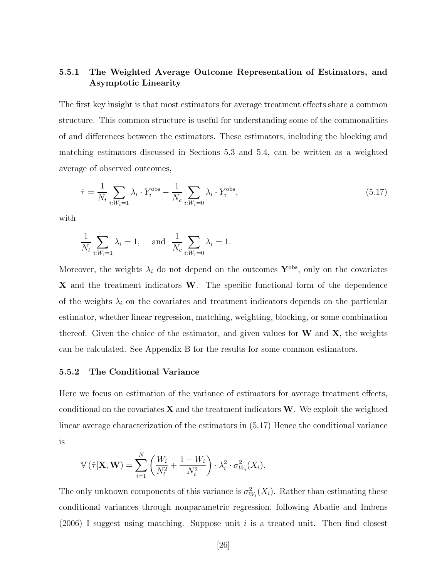### 5.5.1 The Weighted Average Outcome Representation of Estimators, and Asymptotic Linearity

The first key insight is that most estimators for average treatment effects share a common structure. This common structure is useful for understanding some of the commonalities of and differences between the estimators. These estimators, including the blocking and matching estimators discussed in Sections 5.3 and 5.4, can be written as a weighted average of observed outcomes,

$$
\hat{\tau} = \frac{1}{N_t} \sum_{i:W_i=1} \lambda_i \cdot Y_i^{\text{obs}} - \frac{1}{N_c} \sum_{i:W_i=0} \lambda_i \cdot Y_i^{\text{obs}},\tag{5.17}
$$

with

$$
\frac{1}{N_t} \sum_{i:W_i=1} \lambda_i = 1, \quad \text{and} \quad \frac{1}{N_c} \sum_{i:W_i=0} \lambda_i = 1.
$$

Moreover, the weights  $\lambda_i$  do not depend on the outcomes  $\mathbf{Y}^{\text{obs}}$ , only on the covariates X and the treatment indicators W. The specific functional form of the dependence of the weights  $\lambda_i$  on the covariates and treatment indicators depends on the particular estimator, whether linear regression, matching, weighting, blocking, or some combination thereof. Given the choice of the estimator, and given values for  $W$  and  $X$ , the weights can be calculated. See Appendix B for the results for some common estimators.

#### 5.5.2 The Conditional Variance

Here we focus on estimation of the variance of estimators for average treatment effects, conditional on the covariates  $X$  and the treatment indicators  $W$ . We exploit the weighted linear average characterization of the estimators in (5.17) Hence the conditional variance is

$$
\mathbb{V}\left(\hat{\tau}|\mathbf{X},\mathbf{W}\right) = \sum_{i=1}^{N} \left(\frac{W_i}{N_t^2} + \frac{1-W_i}{N_c^2}\right) \cdot \lambda_i^2 \cdot \sigma_{W_i}^2(X_i).
$$

The only unknown components of this variance is  $\sigma_{W_i}^2(X_i)$ . Rather than estimating these conditional variances through nonparametric regression, following Abadie and Imbens  $(2006)$  I suggest using matching. Suppose unit i is a treated unit. Then find closest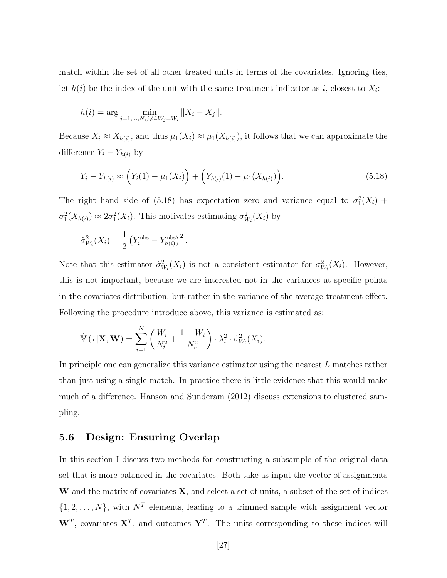match within the set of all other treated units in terms of the covariates. Ignoring ties, let  $h(i)$  be the index of the unit with the same treatment indicator as i, closest to  $X_i$ :

$$
h(i) = \arg \min_{j=1,\dots,N, j \neq i, W_j = W_i} ||X_i - X_j||.
$$

Because  $X_i \approx X_{h(i)}$ , and thus  $\mu_1(X_i) \approx \mu_1(X_{h(i)})$ , it follows that we can approximate the difference  $Y_i - Y_{h(i)}$  by

$$
Y_i - Y_{h(i)} \approx \left(Y_i(1) - \mu_1(X_i)\right) + \left(Y_{h(i)}(1) - \mu_1(X_{h(i)})\right). \tag{5.18}
$$

The right hand side of (5.18) has expectation zero and variance equal to  $\sigma_1^2(X_i)$  +  $\sigma_1^2(X_{h(i)}) \approx 2\sigma_1^2(X_i)$ . This motivates estimating  $\sigma_{W_i}^2(X_i)$  by

$$
\hat{\sigma}_{W_i}^2(X_i) = \frac{1}{2} \left( Y_i^{\text{obs}} - Y_{h(i)}^{\text{obs}} \right)^2.
$$

Note that this estimator  $\hat{\sigma}_{W_i}^2(X_i)$  is not a consistent estimator for  $\sigma_{W_i}^2(X_i)$ . However, this is not important, because we are interested not in the variances at specific points in the covariates distribution, but rather in the variance of the average treatment effect. Following the procedure introduce above, this variance is estimated as:

$$
\hat{\mathbb{V}}\left(\hat{\tau}|\mathbf{X},\mathbf{W}\right)=\sum_{i=1}^{N}\left(\frac{W_i}{N_t^2}+\frac{1-W_i}{N_c^2}\right)\cdot\lambda_i^2\cdot\hat{\sigma}_{W_i}^2(X_i).
$$

In principle one can generalize this variance estimator using the nearest L matches rather than just using a single match. In practice there is little evidence that this would make much of a difference. Hanson and Sunderam (2012) discuss extensions to clustered sampling.

### 5.6 Design: Ensuring Overlap

In this section I discuss two methods for constructing a subsample of the original data set that is more balanced in the covariates. Both take as input the vector of assignments W and the matrix of covariates  $X$ , and select a set of units, a subset of the set of indices  $\{1, 2, \ldots, N\}$ , with  $N^T$  elements, leading to a trimmed sample with assignment vector  $W^T$ , covariates  $X^T$ , and outcomes  $Y^T$ . The units corresponding to these indices will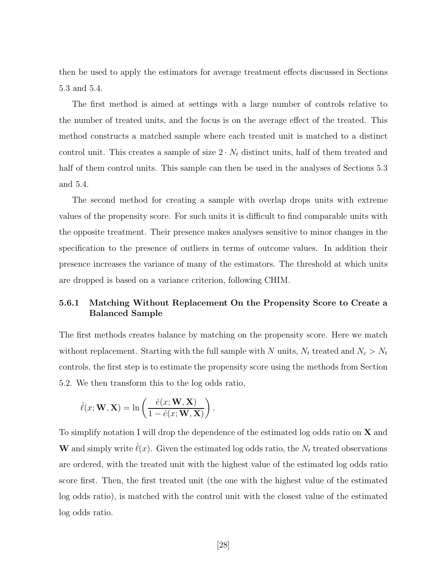then be used to apply the estimators for average treatment effects discussed in Sections 5.3 and 5.4.

The first method is aimed at settings with a large number of controls relative to the number of treated units, and the focus is on the average effect of the treated. This method constructs a matched sample where each treated unit is matched to a distinct control unit. This creates a sample of size  $2 \cdot N_t$  distinct units, half of them treated and half of them control units. This sample can then be used in the analyses of Sections 5.3 and 5.4.

The second method for creating a sample with overlap drops units with extreme values of the propensity score. For such units it is difficult to find comparable units with the opposite treatment. Their presence makes analyses sensitive to minor changes in the specification to the presence of outliers in terms of outcome values. In addition their presence increases the variance of many of the estimators. The threshold at which units are dropped is based on a variance criterion, following CHIM.

### 5.6.1 Matching Without Replacement On the Propensity Score to Create a Balanced Sample

The first methods creates balance by matching on the propensity score. Here we match without replacement. Starting with the full sample with N units,  $N_t$  treated and  $N_c > N_t$ controls, the first step is to estimate the propensity score using the methods from Section 5.2. We then transform this to the log odds ratio,

$$
\hat{\ell}(x; \mathbf{W}, \mathbf{X}) = \ln\left(\frac{\hat{e}(x; \mathbf{W}, \mathbf{X})}{1 - \hat{e}(x; \mathbf{W}, \mathbf{X})}\right).
$$

To simplify notation I will drop the dependence of the estimated log odds ratio on  $X$  and W and simply write  $\hat{\ell}(x)$ . Given the estimated log odds ratio, the  $N_t$  treated observations are ordered, with the treated unit with the highest value of the estimated log odds ratio score first. Then, the first treated unit (the one with the highest value of the estimated log odds ratio), is matched with the control unit with the closest value of the estimated log odds ratio.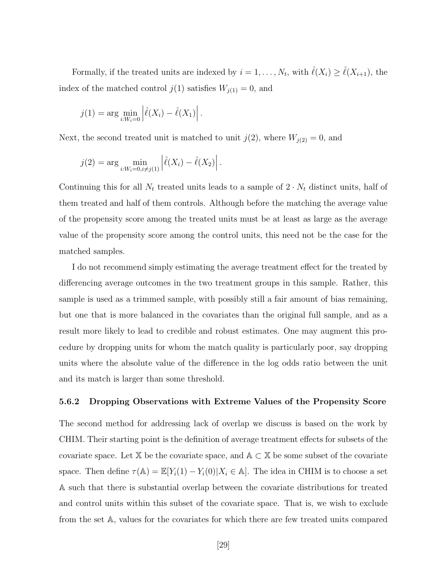Formally, if the treated units are indexed by  $i = 1, \ldots, N_t$ , with  $\hat{\ell}(X_i) \geq \hat{\ell}(X_{i+1})$ , the index of the matched control  $j(1)$  satisfies  $W_{j(1)} = 0$ , and

$$
j(1) = \arg \min_{i: W_i = 0} \left| \hat{\ell}(X_i) - \hat{\ell}(X_1) \right|.
$$

Next, the second treated unit is matched to unit  $j(2)$ , where  $W_{j(2)} = 0$ , and

$$
j(2) = \arg \min_{i: W_i = 0, i \neq j(1)} \left| \hat{\ell}(X_i) - \hat{\ell}(X_2) \right|.
$$

Continuing this for all  $N_t$  treated units leads to a sample of  $2 \cdot N_t$  distinct units, half of them treated and half of them controls. Although before the matching the average value of the propensity score among the treated units must be at least as large as the average value of the propensity score among the control units, this need not be the case for the matched samples.

I do not recommend simply estimating the average treatment effect for the treated by differencing average outcomes in the two treatment groups in this sample. Rather, this sample is used as a trimmed sample, with possibly still a fair amount of bias remaining, but one that is more balanced in the covariates than the original full sample, and as a result more likely to lead to credible and robust estimates. One may augment this procedure by dropping units for whom the match quality is particularly poor, say dropping units where the absolute value of the difference in the log odds ratio between the unit and its match is larger than some threshold.

#### 5.6.2 Dropping Observations with Extreme Values of the Propensity Score

The second method for addressing lack of overlap we discuss is based on the work by CHIM. Their starting point is the definition of average treatment effects for subsets of the covariate space. Let X be the covariate space, and  $A \subset X$  be some subset of the covariate space. Then define  $\tau(A) = \mathbb{E}[Y_i(1) - Y_i(0)|X_i \in A]$ . The idea in CHIM is to choose a set A such that there is substantial overlap between the covariate distributions for treated and control units within this subset of the covariate space. That is, we wish to exclude from the set A, values for the covariates for which there are few treated units compared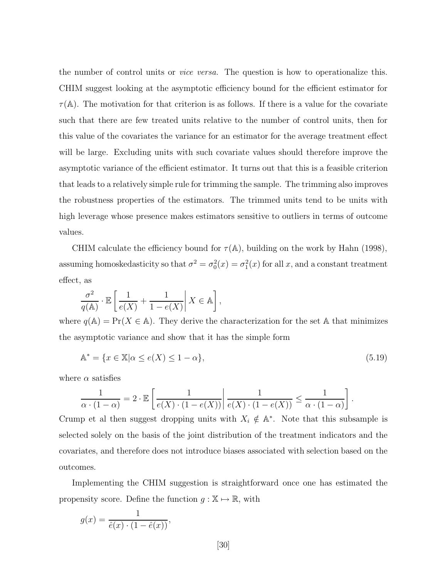the number of control units or vice versa. The question is how to operationalize this. CHIM suggest looking at the asymptotic efficiency bound for the efficient estimator for  $\tau(A)$ . The motivation for that criterion is as follows. If there is a value for the covariate such that there are few treated units relative to the number of control units, then for this value of the covariates the variance for an estimator for the average treatment effect will be large. Excluding units with such covariate values should therefore improve the asymptotic variance of the efficient estimator. It turns out that this is a feasible criterion that leads to a relatively simple rule for trimming the sample. The trimming also improves the robustness properties of the estimators. The trimmed units tend to be units with high leverage whose presence makes estimators sensitive to outliers in terms of outcome values.

CHIM calculate the efficiency bound for  $\tau(A)$ , building on the work by Hahn (1998), assuming homoskedasticity so that  $\sigma^2 = \sigma_0^2(x) = \sigma_1^2(x)$  for all x, and a constant treatment effect, as

$$
\frac{\sigma^2}{q(\mathbb{A})} \cdot \mathbb{E}\left[\frac{1}{e(X)} + \frac{1}{1 - e(X)} \middle| X \in \mathbb{A}\right],
$$

where  $q(\mathbb{A}) = \Pr(X \in \mathbb{A})$ . They derive the characterization for the set A that minimizes the asymptotic variance and show that it has the simple form

$$
\mathbb{A}^* = \{ x \in \mathbb{X} | \alpha \le e(X) \le 1 - \alpha \},\tag{5.19}
$$

.

where  $\alpha$  satisfies

$$
\frac{1}{\alpha \cdot (1-\alpha)} = 2 \cdot \mathbb{E}\left[\left.\frac{1}{e(X) \cdot (1-e(X))}\right| \frac{1}{e(X) \cdot (1-e(X))} \le \frac{1}{\alpha \cdot (1-\alpha)}\right]
$$

Crump et al then suggest dropping units with  $X_i \notin A^*$ . Note that this subsample is selected solely on the basis of the joint distribution of the treatment indicators and the covariates, and therefore does not introduce biases associated with selection based on the outcomes.

Implementing the CHIM suggestion is straightforward once one has estimated the propensity score. Define the function  $g : \mathbb{X} \mapsto \mathbb{R}$ , with

$$
g(x) = \frac{1}{\hat{e}(x) \cdot (1 - \hat{e}(x))},
$$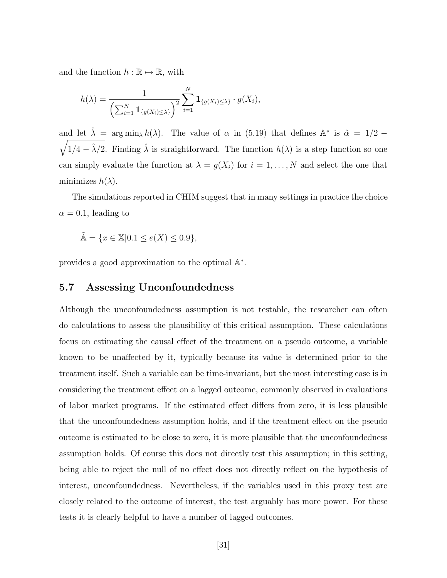and the function  $h : \mathbb{R} \mapsto \mathbb{R}$ , with

$$
h(\lambda) = \frac{1}{\left(\sum_{i=1}^N \mathbf{1}_{\{g(X_i) \leq \lambda\}}\right)^2} \sum_{i=1}^N \mathbf{1}_{\{g(X_i) \leq \lambda\}} \cdot g(X_i),
$$

and let  $\hat{\lambda} = \arg \min_{\lambda} h(\lambda)$ . The value of  $\alpha$  in (5.19) that defines  $\mathbb{A}^*$  is  $\hat{\alpha} = 1/2$  –  $\sqrt{1/4 - \hat{\lambda}/2}$ . Finding  $\hat{\lambda}$  is straightforward. The function  $h(\lambda)$  is a step function so one can simply evaluate the function at  $\lambda = g(X_i)$  for  $i = 1, ..., N$  and select the one that minimizes  $h(\lambda)$ .

The simulations reported in CHIM suggest that in many settings in practice the choice  $\alpha = 0.1$ , leading to

$$
\tilde{\mathbb{A}} = \{ x \in \mathbb{X} | 0.1 \le e(X) \le 0.9 \},
$$

provides a good approximation to the optimal  $\mathbb{A}^*$ .

### 5.7 Assessing Unconfoundedness

Although the unconfoundedness assumption is not testable, the researcher can often do calculations to assess the plausibility of this critical assumption. These calculations focus on estimating the causal effect of the treatment on a pseudo outcome, a variable known to be unaffected by it, typically because its value is determined prior to the treatment itself. Such a variable can be time-invariant, but the most interesting case is in considering the treatment effect on a lagged outcome, commonly observed in evaluations of labor market programs. If the estimated effect differs from zero, it is less plausible that the unconfoundedness assumption holds, and if the treatment effect on the pseudo outcome is estimated to be close to zero, it is more plausible that the unconfoundedness assumption holds. Of course this does not directly test this assumption; in this setting, being able to reject the null of no effect does not directly reflect on the hypothesis of interest, unconfoundedness. Nevertheless, if the variables used in this proxy test are closely related to the outcome of interest, the test arguably has more power. For these tests it is clearly helpful to have a number of lagged outcomes.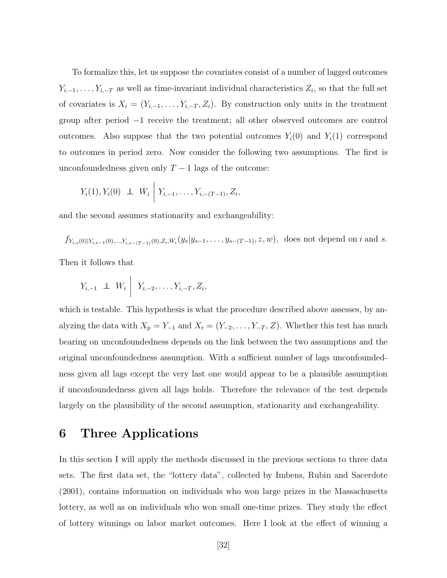To formalize this, let us suppose the covariates consist of a number of lagged outcomes  $Y_{i,-1},\ldots,Y_{i,-T}$  as well as time-invariant individual characteristics  $Z_i$ , so that the full set of covariates is  $X_i = (Y_{i,-1}, \ldots, Y_{i,-T}, Z_i)$ . By construction only units in the treatment group after period −1 receive the treatment; all other observed outcomes are control outcomes. Also suppose that the two potential outcomes  $Y_i(0)$  and  $Y_i(1)$  correspond to outcomes in period zero. Now consider the following two assumptions. The first is unconfoundedness given only  $T - 1$  lags of the outcome:

$$
Y_i(1), Y_i(0) \perp W_i \mid Y_{i,-1}, \ldots, Y_{i,-(T-1)}, Z_i,
$$

and the second assumes stationarity and exchangeability:

$$
f_{Y_{i,s}(0)|Y_{i,s-1}(0),...,Y_{i,s-(T-1)}(0),Z_i,W_i}(y_s|y_{s-1},...,y_{s-(T-1)},z,w)
$$
, does not depend on i and s.

Then it follows that

$$
Y_{i,-1} \perp W_i \mid Y_{i,-2}, \ldots, Y_{i,-T}, Z_i,
$$

which is testable. This hypothesis is what the procedure described above assesses, by analyzing the data with  $X_p = Y_{-1}$  and  $X_r = (Y_{-2}, \ldots, Y_{-T}, Z)$ . Whether this test has much bearing on unconfoundedness depends on the link between the two assumptions and the original unconfoundedness assumption. With a sufficient number of lags unconfoundedness given all lags except the very last one would appear to be a plausible assumption if unconfoundedness given all lags holds. Therefore the relevance of the test depends largely on the plausibility of the second assumption, stationarity and exchangeability.

## 6 Three Applications

In this section I will apply the methods discussed in the previous sections to three data sets. The first data set, the "lottery data", collected by Imbens, Rubin and Sacerdote (2001), contains information on individuals who won large prizes in the Massachusetts lottery, as well as on individuals who won small one-time prizes. They study the effect of lottery winnings on labor market outcomes. Here I look at the effect of winning a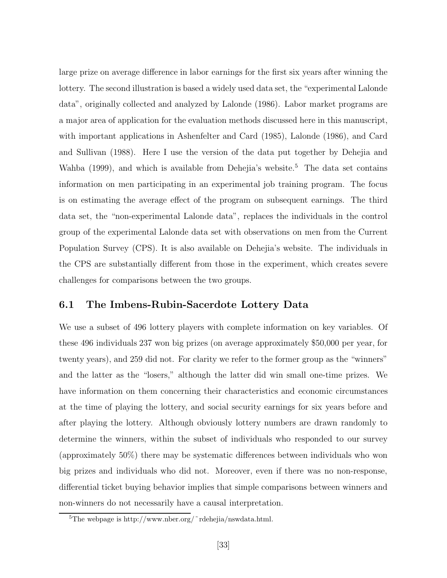large prize on average difference in labor earnings for the first six years after winning the lottery. The second illustration is based a widely used data set, the "experimental Lalonde data", originally collected and analyzed by Lalonde (1986). Labor market programs are a major area of application for the evaluation methods discussed here in this manuscript, with important applications in Ashenfelter and Card (1985), Lalonde (1986), and Card and Sullivan (1988). Here I use the version of the data put together by Dehejia and Wahba (1999), and which is available from Dehejia's website.<sup>5</sup> The data set contains information on men participating in an experimental job training program. The focus is on estimating the average effect of the program on subsequent earnings. The third data set, the "non-experimental Lalonde data", replaces the individuals in the control group of the experimental Lalonde data set with observations on men from the Current Population Survey (CPS). It is also available on Dehejia's website. The individuals in the CPS are substantially different from those in the experiment, which creates severe challenges for comparisons between the two groups.

### 6.1 The Imbens-Rubin-Sacerdote Lottery Data

We use a subset of 496 lottery players with complete information on key variables. Of these 496 individuals 237 won big prizes (on average approximately \$50,000 per year, for twenty years), and 259 did not. For clarity we refer to the former group as the "winners" and the latter as the "losers," although the latter did win small one-time prizes. We have information on them concerning their characteristics and economic circumstances at the time of playing the lottery, and social security earnings for six years before and after playing the lottery. Although obviously lottery numbers are drawn randomly to determine the winners, within the subset of individuals who responded to our survey (approximately 50%) there may be systematic differences between individuals who won big prizes and individuals who did not. Moreover, even if there was no non-response, differential ticket buying behavior implies that simple comparisons between winners and non-winners do not necessarily have a causal interpretation.

<sup>5</sup>The webpage is http://www.nber.org/˜rdehejia/nswdata.html.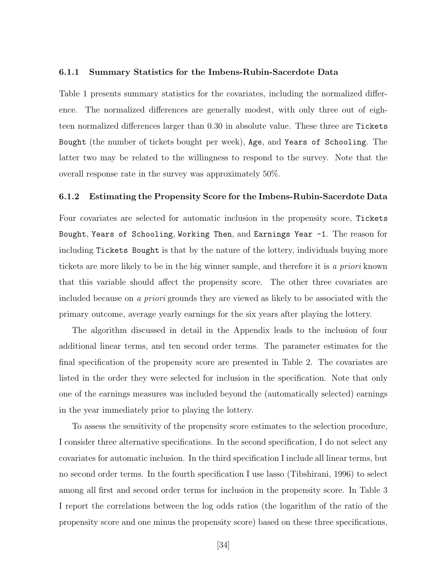#### 6.1.1 Summary Statistics for the Imbens-Rubin-Sacerdote Data

Table 1 presents summary statistics for the covariates, including the normalized difference. The normalized differences are generally modest, with only three out of eighteen normalized differences larger than 0.30 in absolute value. These three are Tickets Bought (the number of tickets bought per week), Age, and Years of Schooling. The latter two may be related to the willingness to respond to the survey. Note that the overall response rate in the survey was approximately 50%.

#### 6.1.2 Estimating the Propensity Score for the Imbens-Rubin-Sacerdote Data

Four covariates are selected for automatic inclusion in the propensity score, Tickets Bought, Years of Schooling, Working Then, and Earnings Year -1. The reason for including Tickets Bought is that by the nature of the lottery, individuals buying more tickets are more likely to be in the big winner sample, and therefore it is a priori known that this variable should affect the propensity score. The other three covariates are included because on a *priori* grounds they are viewed as likely to be associated with the primary outcome, average yearly earnings for the six years after playing the lottery.

The algorithm discussed in detail in the Appendix leads to the inclusion of four additional linear terms, and ten second order terms. The parameter estimates for the final specification of the propensity score are presented in Table 2. The covariates are listed in the order they were selected for inclusion in the specification. Note that only one of the earnings measures was included beyond the (automatically selected) earnings in the year immediately prior to playing the lottery.

To assess the sensitivity of the propensity score estimates to the selection procedure, I consider three alternative specifications. In the second specification, I do not select any covariates for automatic inclusion. In the third specification I include all linear terms, but no second order terms. In the fourth specification I use lasso (Tibshirani, 1996) to select among all first and second order terms for inclusion in the propensity score. In Table 3 I report the correlations between the log odds ratios (the logarithm of the ratio of the propensity score and one minus the propensity score) based on these three specifications,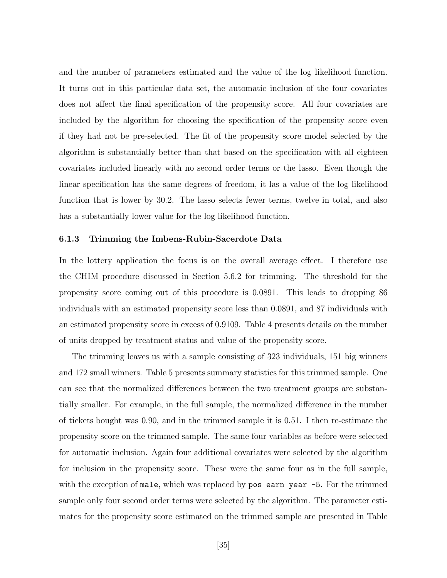and the number of parameters estimated and the value of the log likelihood function. It turns out in this particular data set, the automatic inclusion of the four covariates does not affect the final specification of the propensity score. All four covariates are included by the algorithm for choosing the specification of the propensity score even if they had not be pre-selected. The fit of the propensity score model selected by the algorithm is substantially better than that based on the specification with all eighteen covariates included linearly with no second order terms or the lasso. Even though the linear specification has the same degrees of freedom, it las a value of the log likelihood function that is lower by 30.2. The lasso selects fewer terms, twelve in total, and also has a substantially lower value for the log likelihood function.

#### 6.1.3 Trimming the Imbens-Rubin-Sacerdote Data

In the lottery application the focus is on the overall average effect. I therefore use the CHIM procedure discussed in Section 5.6.2 for trimming. The threshold for the propensity score coming out of this procedure is 0.0891. This leads to dropping 86 individuals with an estimated propensity score less than 0.0891, and 87 individuals with an estimated propensity score in excess of 0.9109. Table 4 presents details on the number of units dropped by treatment status and value of the propensity score.

The trimming leaves us with a sample consisting of 323 individuals, 151 big winners and 172 small winners. Table 5 presents summary statistics for this trimmed sample. One can see that the normalized differences between the two treatment groups are substantially smaller. For example, in the full sample, the normalized difference in the number of tickets bought was 0.90, and in the trimmed sample it is 0.51. I then re-estimate the propensity score on the trimmed sample. The same four variables as before were selected for automatic inclusion. Again four additional covariates were selected by the algorithm for inclusion in the propensity score. These were the same four as in the full sample, with the exception of male, which was replaced by pos earn year  $-5$ . For the trimmed sample only four second order terms were selected by the algorithm. The parameter estimates for the propensity score estimated on the trimmed sample are presented in Table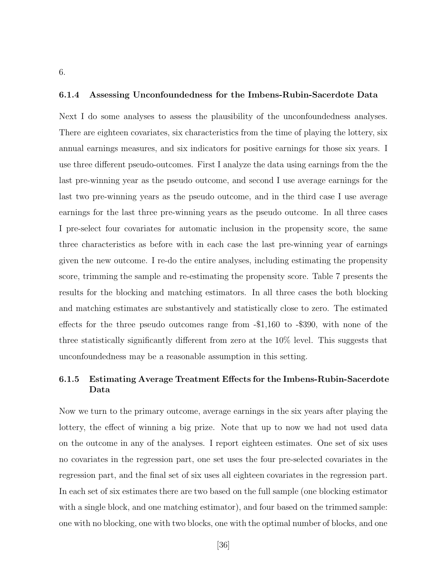### 6.1.4 Assessing Unconfoundedness for the Imbens-Rubin-Sacerdote Data

Next I do some analyses to assess the plausibility of the unconfoundedness analyses. There are eighteen covariates, six characteristics from the time of playing the lottery, six annual earnings measures, and six indicators for positive earnings for those six years. I use three different pseudo-outcomes. First I analyze the data using earnings from the the last pre-winning year as the pseudo outcome, and second I use average earnings for the last two pre-winning years as the pseudo outcome, and in the third case I use average earnings for the last three pre-winning years as the pseudo outcome. In all three cases I pre-select four covariates for automatic inclusion in the propensity score, the same three characteristics as before with in each case the last pre-winning year of earnings given the new outcome. I re-do the entire analyses, including estimating the propensity score, trimming the sample and re-estimating the propensity score. Table 7 presents the results for the blocking and matching estimators. In all three cases the both blocking and matching estimates are substantively and statistically close to zero. The estimated effects for the three pseudo outcomes range from -\$1,160 to -\$390, with none of the three statistically significantly different from zero at the 10% level. This suggests that unconfoundedness may be a reasonable assumption in this setting.

### 6.1.5 Estimating Average Treatment Effects for the Imbens-Rubin-Sacerdote Data

Now we turn to the primary outcome, average earnings in the six years after playing the lottery, the effect of winning a big prize. Note that up to now we had not used data on the outcome in any of the analyses. I report eighteen estimates. One set of six uses no covariates in the regression part, one set uses the four pre-selected covariates in the regression part, and the final set of six uses all eighteen covariates in the regression part. In each set of six estimates there are two based on the full sample (one blocking estimator with a single block, and one matching estimator), and four based on the trimmed sample: one with no blocking, one with two blocks, one with the optimal number of blocks, and one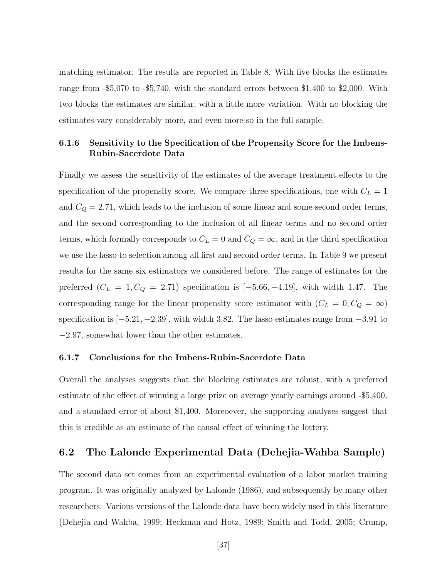matching estimator. The results are reported in Table 8. With five blocks the estimates range from -\$5,070 to -\$5,740, with the standard errors between \$1,400 to \$2,000. With two blocks the estimates are similar, with a little more variation. With no blocking the estimates vary considerably more, and even more so in the full sample.

### 6.1.6 Sensitivity to the Specification of the Propensity Score for the Imbens-Rubin-Sacerdote Data

Finally we assess the sensitivity of the estimates of the average treatment effects to the specification of the propensity score. We compare three specifications, one with  $C_L = 1$ and  $C_Q = 2.71$ , which leads to the inclusion of some linear and some second order terms, and the second corresponding to the inclusion of all linear terms and no second order terms, which formally corresponds to  $C_L = 0$  and  $C_Q = \infty$ , and in the third specification we use the lasso to selection among all first and second order terms. In Table 9 we present results for the same six estimators we considered before. The range of estimates for the preferred  $(C_L = 1, C_Q = 2.71)$  specification is  $[-5.66, -4.19]$ , with width 1.47. The corresponding range for the linear propensity score estimator with  $(C_L = 0, C_Q = \infty)$ specification is  $[-5.21, -2.39]$ , with width 3.82. The lasso estimates range from  $-3.91$  to −2.97, somewhat lower than the other estimates.

#### 6.1.7 Conclusions for the Imbens-Rubin-Sacerdote Data

Overall the analyses suggests that the blocking estimates are robust, with a preferred estimate of the effect of winning a large prize on average yearly earnings around -\$5,400, and a standard error of about \$1,400. Moreoever, the supporting analyses suggest that this is credible as an estimate of the causal effect of winning the lottery.

### 6.2 The Lalonde Experimental Data (Dehejia-Wahba Sample)

The second data set comes from an experimental evaluation of a labor market training program. It was originally analyzed by Lalonde (1986), and subsequently by many other researchers. Various versions of the Lalonde data have been widely used in this literature (Dehejia and Wahba, 1999; Heckman and Hotz, 1989; Smith and Todd, 2005; Crump,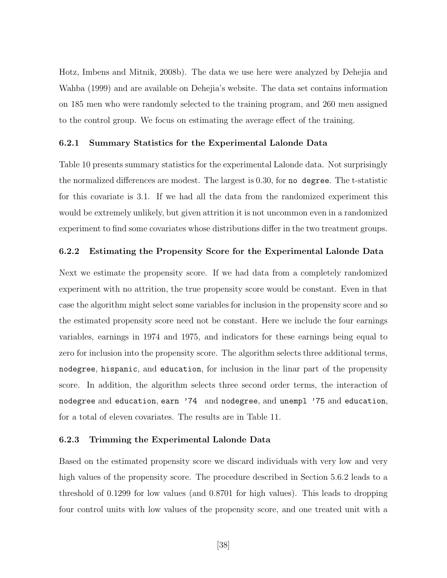Hotz, Imbens and Mitnik, 2008b). The data we use here were analyzed by Dehejia and Wahba (1999) and are available on Dehejia's website. The data set contains information on 185 men who were randomly selected to the training program, and 260 men assigned to the control group. We focus on estimating the average effect of the training.

#### 6.2.1 Summary Statistics for the Experimental Lalonde Data

Table 10 presents summary statistics for the experimental Lalonde data. Not surprisingly the normalized differences are modest. The largest is 0.30, for no degree. The t-statistic for this covariate is 3.1. If we had all the data from the randomized experiment this would be extremely unlikely, but given attrition it is not uncommon even in a randomized experiment to find some covariates whose distributions differ in the two treatment groups.

### 6.2.2 Estimating the Propensity Score for the Experimental Lalonde Data

Next we estimate the propensity score. If we had data from a completely randomized experiment with no attrition, the true propensity score would be constant. Even in that case the algorithm might select some variables for inclusion in the propensity score and so the estimated propensity score need not be constant. Here we include the four earnings variables, earnings in 1974 and 1975, and indicators for these earnings being equal to zero for inclusion into the propensity score. The algorithm selects three additional terms, nodegree, hispanic, and education, for inclusion in the linar part of the propensity score. In addition, the algorithm selects three second order terms, the interaction of nodegree and education, earn '74 and nodegree, and unempl '75 and education, for a total of eleven covariates. The results are in Table 11.

#### 6.2.3 Trimming the Experimental Lalonde Data

Based on the estimated propensity score we discard individuals with very low and very high values of the propensity score. The procedure described in Section 5.6.2 leads to a threshold of 0.1299 for low values (and 0.8701 for high values). This leads to dropping four control units with low values of the propensity score, and one treated unit with a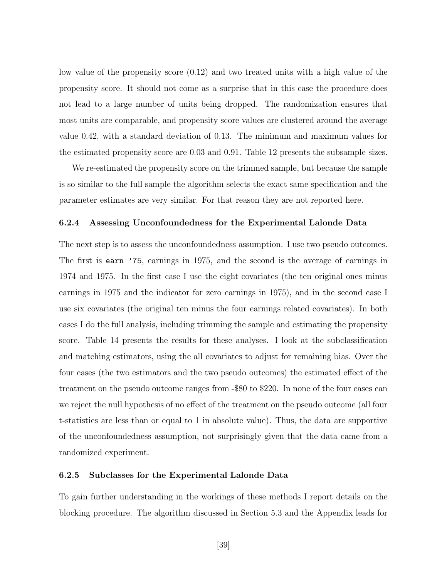low value of the propensity score (0.12) and two treated units with a high value of the propensity score. It should not come as a surprise that in this case the procedure does not lead to a large number of units being dropped. The randomization ensures that most units are comparable, and propensity score values are clustered around the average value 0.42, with a standard deviation of 0.13. The minimum and maximum values for the estimated propensity score are 0.03 and 0.91. Table 12 presents the subsample sizes.

We re-estimated the propensity score on the trimmed sample, but because the sample is so similar to the full sample the algorithm selects the exact same specification and the parameter estimates are very similar. For that reason they are not reported here.

#### 6.2.4 Assessing Unconfoundedness for the Experimental Lalonde Data

The next step is to assess the unconfoundedness assumption. I use two pseudo outcomes. The first is earn '75, earnings in 1975, and the second is the average of earnings in 1974 and 1975. In the first case I use the eight covariates (the ten original ones minus earnings in 1975 and the indicator for zero earnings in 1975), and in the second case I use six covariates (the original ten minus the four earnings related covariates). In both cases I do the full analysis, including trimming the sample and estimating the propensity score. Table 14 presents the results for these analyses. I look at the subclassification and matching estimators, using the all covariates to adjust for remaining bias. Over the four cases (the two estimators and the two pseudo outcomes) the estimated effect of the treatment on the pseudo outcome ranges from -\$80 to \$220. In none of the four cases can we reject the null hypothesis of no effect of the treatment on the pseudo outcome (all four t-statistics are less than or equal to 1 in absolute value). Thus, the data are supportive of the unconfoundedness assumption, not surprisingly given that the data came from a randomized experiment.

#### 6.2.5 Subclasses for the Experimental Lalonde Data

To gain further understanding in the workings of these methods I report details on the blocking procedure. The algorithm discussed in Section 5.3 and the Appendix leads for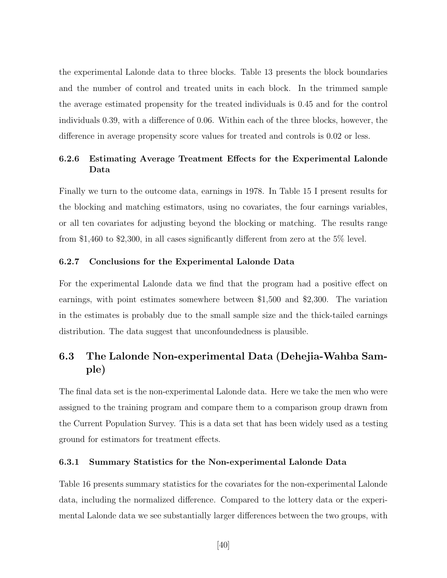the experimental Lalonde data to three blocks. Table 13 presents the block boundaries and the number of control and treated units in each block. In the trimmed sample the average estimated propensity for the treated individuals is 0.45 and for the control individuals 0.39, with a difference of 0.06. Within each of the three blocks, however, the difference in average propensity score values for treated and controls is 0.02 or less.

### 6.2.6 Estimating Average Treatment Effects for the Experimental Lalonde Data

Finally we turn to the outcome data, earnings in 1978. In Table 15 I present results for the blocking and matching estimators, using no covariates, the four earnings variables, or all ten covariates for adjusting beyond the blocking or matching. The results range from \$1,460 to \$2,300, in all cases significantly different from zero at the 5% level.

### 6.2.7 Conclusions for the Experimental Lalonde Data

For the experimental Lalonde data we find that the program had a positive effect on earnings, with point estimates somewhere between \$1,500 and \$2,300. The variation in the estimates is probably due to the small sample size and the thick-tailed earnings distribution. The data suggest that unconfoundedness is plausible.

## 6.3 The Lalonde Non-experimental Data (Dehejia-Wahba Sample)

The final data set is the non-experimental Lalonde data. Here we take the men who were assigned to the training program and compare them to a comparison group drawn from the Current Population Survey. This is a data set that has been widely used as a testing ground for estimators for treatment effects.

#### 6.3.1 Summary Statistics for the Non-experimental Lalonde Data

Table 16 presents summary statistics for the covariates for the non-experimental Lalonde data, including the normalized difference. Compared to the lottery data or the experimental Lalonde data we see substantially larger differences between the two groups, with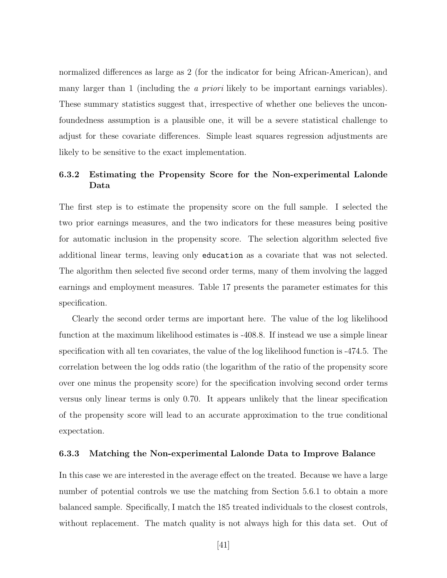normalized differences as large as 2 (for the indicator for being African-American), and many larger than 1 (including the *a priori* likely to be important earnings variables). These summary statistics suggest that, irrespective of whether one believes the unconfoundedness assumption is a plausible one, it will be a severe statistical challenge to adjust for these covariate differences. Simple least squares regression adjustments are likely to be sensitive to the exact implementation.

### 6.3.2 Estimating the Propensity Score for the Non-experimental Lalonde Data

The first step is to estimate the propensity score on the full sample. I selected the two prior earnings measures, and the two indicators for these measures being positive for automatic inclusion in the propensity score. The selection algorithm selected five additional linear terms, leaving only education as a covariate that was not selected. The algorithm then selected five second order terms, many of them involving the lagged earnings and employment measures. Table 17 presents the parameter estimates for this specification.

Clearly the second order terms are important here. The value of the log likelihood function at the maximum likelihood estimates is -408.8. If instead we use a simple linear specification with all ten covariates, the value of the log likelihood function is -474.5. The correlation between the log odds ratio (the logarithm of the ratio of the propensity score over one minus the propensity score) for the specification involving second order terms versus only linear terms is only 0.70. It appears unlikely that the linear specification of the propensity score will lead to an accurate approximation to the true conditional expectation.

### 6.3.3 Matching the Non-experimental Lalonde Data to Improve Balance

In this case we are interested in the average effect on the treated. Because we have a large number of potential controls we use the matching from Section 5.6.1 to obtain a more balanced sample. Specifically, I match the 185 treated individuals to the closest controls, without replacement. The match quality is not always high for this data set. Out of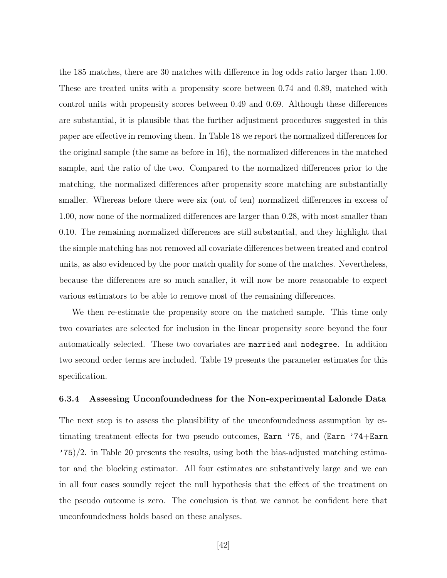the 185 matches, there are 30 matches with difference in log odds ratio larger than 1.00. These are treated units with a propensity score between 0.74 and 0.89, matched with control units with propensity scores between 0.49 and 0.69. Although these differences are substantial, it is plausible that the further adjustment procedures suggested in this paper are effective in removing them. In Table 18 we report the normalized differences for the original sample (the same as before in 16), the normalized differences in the matched sample, and the ratio of the two. Compared to the normalized differences prior to the matching, the normalized differences after propensity score matching are substantially smaller. Whereas before there were six (out of ten) normalized differences in excess of 1.00, now none of the normalized differences are larger than 0.28, with most smaller than 0.10. The remaining normalized differences are still substantial, and they highlight that the simple matching has not removed all covariate differences between treated and control units, as also evidenced by the poor match quality for some of the matches. Nevertheless, because the differences are so much smaller, it will now be more reasonable to expect various estimators to be able to remove most of the remaining differences.

We then re-estimate the propensity score on the matched sample. This time only two covariates are selected for inclusion in the linear propensity score beyond the four automatically selected. These two covariates are married and nodegree. In addition two second order terms are included. Table 19 presents the parameter estimates for this specification.

#### 6.3.4 Assessing Unconfoundedness for the Non-experimental Lalonde Data

The next step is to assess the plausibility of the unconfoundedness assumption by estimating treatment effects for two pseudo outcomes, Earn '75, and (Earn '74+Earn  $(75)/2$ . in Table 20 presents the results, using both the bias-adjusted matching estimator and the blocking estimator. All four estimates are substantively large and we can in all four cases soundly reject the null hypothesis that the effect of the treatment on the pseudo outcome is zero. The conclusion is that we cannot be confident here that unconfoundedness holds based on these analyses.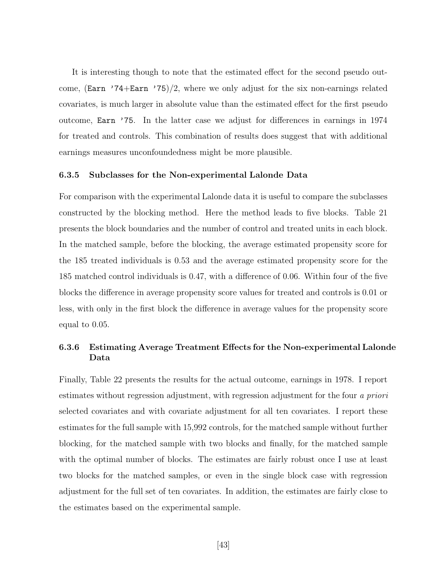It is interesting though to note that the estimated effect for the second pseudo outcome,  $(\text{Earn } '74+\text{Earn } '75)/2$ , where we only adjust for the six non-earnings related covariates, is much larger in absolute value than the estimated effect for the first pseudo outcome, Earn '75. In the latter case we adjust for differences in earnings in 1974 for treated and controls. This combination of results does suggest that with additional earnings measures unconfoundedness might be more plausible.

#### 6.3.5 Subclasses for the Non-experimental Lalonde Data

For comparison with the experimental Lalonde data it is useful to compare the subclasses constructed by the blocking method. Here the method leads to five blocks. Table 21 presents the block boundaries and the number of control and treated units in each block. In the matched sample, before the blocking, the average estimated propensity score for the 185 treated individuals is 0.53 and the average estimated propensity score for the 185 matched control individuals is 0.47, with a difference of 0.06. Within four of the five blocks the difference in average propensity score values for treated and controls is 0.01 or less, with only in the first block the difference in average values for the propensity score equal to 0.05.

### 6.3.6 Estimating Average Treatment Effects for the Non-experimental Lalonde Data

Finally, Table 22 presents the results for the actual outcome, earnings in 1978. I report estimates without regression adjustment, with regression adjustment for the four a priori selected covariates and with covariate adjustment for all ten covariates. I report these estimates for the full sample with 15,992 controls, for the matched sample without further blocking, for the matched sample with two blocks and finally, for the matched sample with the optimal number of blocks. The estimates are fairly robust once I use at least two blocks for the matched samples, or even in the single block case with regression adjustment for the full set of ten covariates. In addition, the estimates are fairly close to the estimates based on the experimental sample.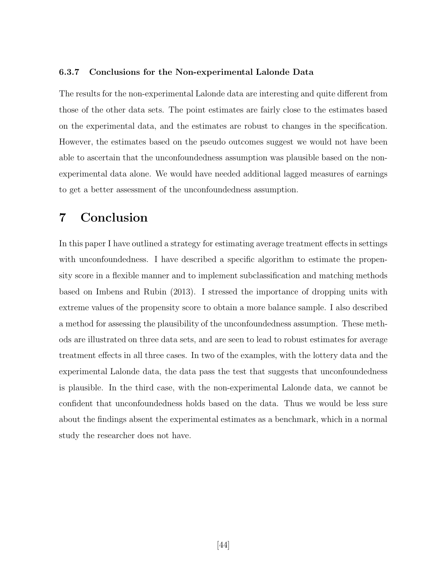#### 6.3.7 Conclusions for the Non-experimental Lalonde Data

The results for the non-experimental Lalonde data are interesting and quite different from those of the other data sets. The point estimates are fairly close to the estimates based on the experimental data, and the estimates are robust to changes in the specification. However, the estimates based on the pseudo outcomes suggest we would not have been able to ascertain that the unconfoundedness assumption was plausible based on the nonexperimental data alone. We would have needed additional lagged measures of earnings to get a better assessment of the unconfoundedness assumption.

## 7 Conclusion

In this paper I have outlined a strategy for estimating average treatment effects in settings with unconfoundedness. I have described a specific algorithm to estimate the propensity score in a flexible manner and to implement subclassification and matching methods based on Imbens and Rubin (2013). I stressed the importance of dropping units with extreme values of the propensity score to obtain a more balance sample. I also described a method for assessing the plausibility of the unconfoundedness assumption. These methods are illustrated on three data sets, and are seen to lead to robust estimates for average treatment effects in all three cases. In two of the examples, with the lottery data and the experimental Lalonde data, the data pass the test that suggests that unconfoundedness is plausible. In the third case, with the non-experimental Lalonde data, we cannot be confident that unconfoundedness holds based on the data. Thus we would be less sure about the findings absent the experimental estimates as a benchmark, which in a normal study the researcher does not have.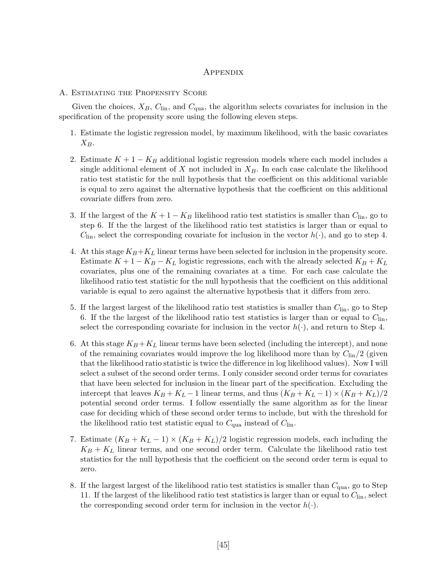### **APPENDIX**

#### A. Estimating the Propensity Score

Given the choices,  $X_B$ ,  $C_{lin}$ , and  $C_{qua}$ , the algorithm selects covariates for inclusion in the specification of the propensity score using the following eleven steps.

- 1. Estimate the logistic regression model, by maximum likelihood, with the basic covariates  $X_B.$
- 2. Estimate  $K + 1 K_B$  additional logistic regression models where each model includes a single additional element of X not included in  $X_B$ . In each case calculate the likelihood ratio test statistic for the null hypothesis that the coefficient on this additional variable is equal to zero against the alternative hypothesis that the coefficient on this additional covariate differs from zero.
- 3. If the largest of the  $K + 1 K_B$  likelihood ratio test statistics is smaller than  $C_{lin}$ , go to step 6. If the the largest of the likelihood ratio test statistics is larger than or equal to  $C_{\text{lin}}$ , select the corresponding covariate for inclusion in the vector  $h(\cdot)$ , and go to step 4.
- 4. At this stage  $K_B+K_L$  linear terms have been selected for inclusion in the propensity score. Estimate  $K + 1 - K_B - K_L$  logistic regressions, each with the already selected  $K_B + K_L$ covariates, plus one of the remaining covariates at a time. For each case calculate the likelihood ratio test statistic for the null hypothesis that the coefficient on this additional variable is equal to zero against the alternative hypothesis that it differs from zero.
- 5. If the largest largest of the likelihood ratio test statistics is smaller than  $C_{lin}$ , go to Step 6. If the the largest of the likelihood ratio test statistics is larger than or equal to  $C_{lin}$ , select the corresponding covariate for inclusion in the vector  $h(\cdot)$ , and return to Step 4.
- 6. At this stage  $K_B + K_L$  linear terms have been selected (including the intercept), and none of the remaining covariates would improve the log likelihood more than by  $C_{lin}/2$  (given that the likelihood ratio statistic is twice the difference in log likelihood values). Now I will select a subset of the second order terms. I only consider second order terms for covariates that have been selected for inclusion in the linear part of the specification. Excluding the intercept that leaves  $K_B + K_L - 1$  linear terms, and thus  $(K_B + K_L - 1) \times (K_B + K_L)/2$ potential second order terms. I follow essentially the same algorithm as for the linear case for deciding which of these second order terms to include, but with the threshold for the likelihood ratio test statistic equal to  $C_{\text{qua}}$  instead of  $C_{\text{lin}}$ .
- 7. Estimate  $(K_B + K_L 1) \times (K_B + K_L)/2$  logistic regression models, each including the  $K_B + K_L$  linear terms, and one second order term. Calculate the likelihood ratio test statistics for the null hypothesis that the coefficient on the second order term is equal to zero.
- 8. If the largest largest of the likelihood ratio test statistics is smaller than  $C_{\text{qua}}$ , go to Step 11. If the largest of the likelihood ratio test statistics is larger than or equal to  $C_{lin}$ , select the corresponding second order term for inclusion in the vector  $h(\cdot)$ .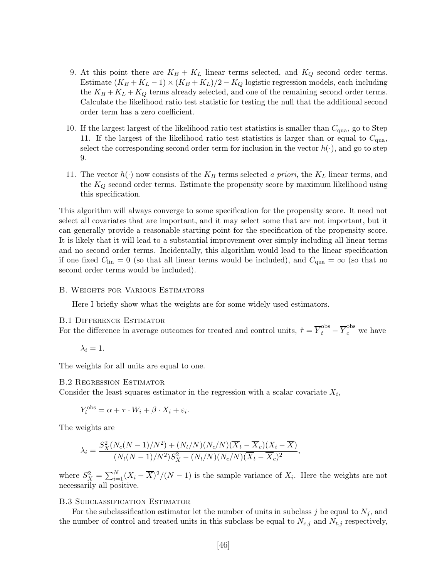- 9. At this point there are  $K_B + K_L$  linear terms selected, and  $K_Q$  second order terms. Estimate  $(K_B + K_L - 1) \times (K_B + K_L)/2 - K_Q$  logistic regression models, each including the  $K_B + K_L + K_Q$  terms already selected, and one of the remaining second order terms. Calculate the likelihood ratio test statistic for testing the null that the additional second order term has a zero coefficient.
- 10. If the largest largest of the likelihood ratio test statistics is smaller than  $C_{\text{qua}}$ , go to Step 11. If the largest of the likelihood ratio test statistics is larger than or equal to  $C_{\text{qua}}$ , select the corresponding second order term for inclusion in the vector  $h(\cdot)$ , and go to step 9.
- 11. The vector  $h(\cdot)$  now consists of the  $K_B$  terms selected a priori, the  $K_L$  linear terms, and the  $K_Q$  second order terms. Estimate the propensity score by maximum likelihood using this specification.

This algorithm will always converge to some specification for the propensity score. It need not select all covariates that are important, and it may select some that are not important, but it can generally provide a reasonable starting point for the specification of the propensity score. It is likely that it will lead to a substantial improvement over simply including all linear terms and no second order terms. Incidentally, this algorithm would lead to the linear specification if one fixed  $C_{lin} = 0$  (so that all linear terms would be included), and  $C_{qua} = \infty$  (so that no second order terms would be included).

#### B. Weights for Various Estimators

Here I briefly show what the weights are for some widely used estimators.

#### B.1 Difference Estimator

For the difference in average outcomes for treated and control units,  $\hat{\tau} = \overline{Y}_t^{\text{obs}} - \overline{Y}_c^{\text{obs}}$  we have

$$
\lambda_i=1.
$$

The weights for all units are equal to one.

#### B.2 Regression Estimator

Consider the least squares estimator in the regression with a scalar covariate  $X_i$ ,

$$
Y_i^{\text{obs}} = \alpha + \tau \cdot W_i + \beta \cdot X_i + \varepsilon_i.
$$

The weights are

$$
\lambda_i = \frac{S_X^2(N_c(N-1)/N^2) + (N_t/N)(N_c/N)(\overline{X}_t - \overline{X}_c)(X_i - \overline{X})}{(N_t(N-1)/N^2)S_X^2 - (N_t/N)(N_c/N)(\overline{X}_t - \overline{X}_c)^2},
$$

where  $S_X^2 = \sum_{i=1}^N (X_i - \overline{X})^2 / (N-1)$  is the sample variance of  $X_i$ . Here the weights are not necessarily all positive.

#### B.3 Subclassification Estimator

For the subclassification estimator let the number of units in subclass j be equal to  $N_j$ , and the number of control and treated units in this subclass be equal to  $N_{c,j}$  and  $N_{t,j}$  respectively,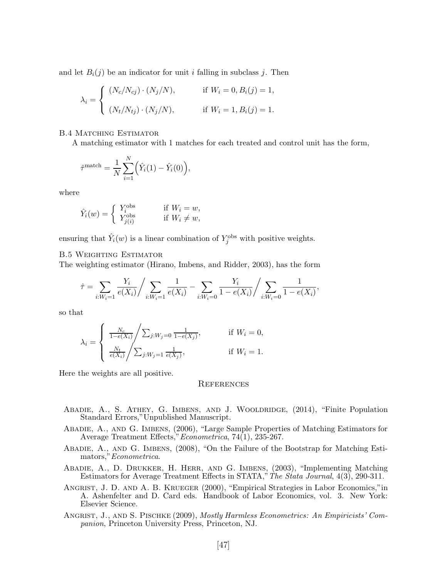and let  $B_i(j)$  be an indicator for unit i falling in subclass j. Then

$$
\lambda_i = \begin{cases}\n(N_c/N_{cj}) \cdot (N_j/N), & \text{if } W_i = 0, B_i(j) = 1, \\
(N_t/N_{tj}) \cdot (N_j/N), & \text{if } W_i = 1, B_i(j) = 1.\n\end{cases}
$$

**B.4 MATCHING ESTIMATOR** 

A matching estimator with 1 matches for each treated and control unit has the form,

$$
\hat{\tau}^{\text{match}} = \frac{1}{N} \sum_{i=1}^{N} (\hat{Y}_i(1) - \hat{Y}_i(0)),
$$

where

$$
\hat{Y}_i(w) = \begin{cases} Y_i^{\text{obs}} & \text{if } W_i = w, \\ Y_{j(i)}^{\text{obs}} & \text{if } W_i \neq w, \end{cases}
$$

ensuring that  $\hat{Y}_i(w)$  is a linear combination of  $Y_j^{\text{obs}}$  with positive weights.

#### B.5 Weighting Estimator

The weighting estimator (Hirano, Imbens, and Ridder, 2003), has the form

$$
\hat{\tau} = \sum_{i:W_i=1} \frac{Y_i}{e(X_i)} / \sum_{i:W_i=1} \frac{1}{e(X_i)} - \sum_{i:W_i=0} \frac{Y_i}{1 - e(X_i)} / \sum_{i:W_i=0} \frac{1}{1 - e(X_i)},
$$

so that

$$
\lambda_i = \begin{cases} \frac{N_c}{1 - e(X_i)} / \sum_{j: W_j = 0} \frac{1}{1 - e(X_j)}, & \text{if } W_i = 0, \\ \frac{N_t}{e(X_i)} / \sum_{j: W_j = 1} \frac{1}{e(X_j)}, & \text{if } W_i = 1. \end{cases}
$$

Here the weights are all positive.

#### **REFERENCES**

- ABADIE, A., S. ATHEY, G. IMBENS, AND J. WOOLDRIDGE, (2014), "Finite Population Standard Errors,"Unpublished Manuscript.
- Abadie, A., and G. Imbens, (2006), "Large Sample Properties of Matching Estimators for Average Treatment Effects,"Econometrica, 74(1), 235-267.
- Abadie, A., and G. Imbens, (2008), "On the Failure of the Bootstrap for Matching Estimators,"Econometrica.
- Abadie, A., D. Drukker, H. Herr, and G. Imbens, (2003), "Implementing Matching Estimators for Average Treatment Effects in STATA,"The Stata Journal, 4(3), 290-311.
- Angrist, J. D. and A. B. Krueger (2000), "Empirical Strategies in Labor Economics,"in A. Ashenfelter and D. Card eds. Handbook of Labor Economics, vol. 3. New York: Elsevier Science.
- ANGRIST, J., AND S. PISCHKE (2009), *Mostly Harmless Econometrics: An Empiricists' Com*panion, Princeton University Press, Princeton, NJ.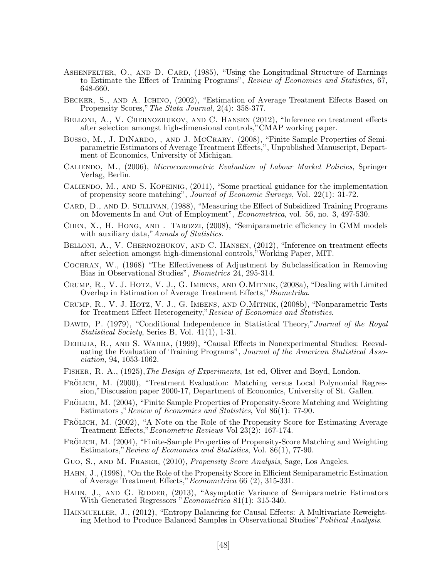- ASHENFELTER, O., AND D. CARD, (1985), "Using the Longitudinal Structure of Earnings to Estimate the Effect of Training Programs", Review of Economics and Statistics, 67, 648-660.
- Becker, S., and A. Ichino, (2002), "Estimation of Average Treatment Effects Based on Propensity Scores,"The Stata Journal, 2(4): 358-377.
- BELLONI, A., V. CHERNOZHUKOV, AND C. HANSEN (2012), "Inference on treatment effects after selection amongst high-dimensional controls,"CMAP working paper.
- Busso, M., J. DINARDO, , AND J. McCRARY. (2008), "Finite Sample Properties of Semiparametric Estimators of Average Treatment Effects,", Unpublished Manuscript, Department of Economics, University of Michigan.
- Caliendo, M., (2006), Microeconometric Evaluation of Labour Market Policies, Springer Verlag, Berlin.
- Caliendo, M., and S. Kopeinig, (2011), "Some practical guidance for the implementation of propensity score matching", Journal of Economic Surveys, Vol. 22(1): 31-72.
- CARD, D., AND D. SULLIVAN, (1988), "Measuring the Effect of Subsidized Training Programs on Movements In and Out of Employment", Econometrica, vol. 56, no. 3, 497-530.
- Chen, X., H. Hong, and . Tarozzi, (2008), "Semiparametric efficiency in GMM models with auxiliary data," Annals of Statistics.
- BELLONI, A., V. CHERNOZHUKOV, AND C. HANSEN,  $(2012)$ , "Inference on treatment effects after selection amongst high-dimensional controls,"Working Paper, MIT.
- Cochran, W., (1968) "The Effectiveness of Adjustment by Subclassification in Removing Bias in Observational Studies", Biometrics 24, 295-314.
- Crump, R., V. J. Hotz, V. J., G. Imbens, and O.Mitnik, (2008a), "Dealing with Limited Overlap in Estimation of Average Treatment Effects,"Biometrika.
- Crump, R., V. J. Hotz, V. J., G. Imbens, and O.Mitnik, (2008b), "Nonparametric Tests for Treatment Effect Heterogeneity," Review of Economics and Statistics.
- DAWID, P. (1979), "Conditional Independence in Statistical Theory," Journal of the Royal Statistical Society, Series B, Vol. 41(1), 1-31.
- DEHEJIA, R., AND S. WAHBA, (1999), "Causal Effects in Nonexperimental Studies: Reevaluating the Evaluation of Training Programs", Journal of the American Statistical Association, 94, 1053-1062.
- FISHER, R. A., (1925), The Design of Experiments, 1st ed, Oliver and Boyd, London.
- FRÖLICH, M. (2000), "Treatment Evaluation: Matching versus Local Polynomial Regression,"Discussion paper 2000-17, Department of Economics, University of St. Gallen.
- FRÖLICH, M. (2004), "Finite Sample Properties of Propensity-Score Matching and Weighting Estimators ,"Review of Economics and Statistics, Vol 86(1): 77-90.
- FRÖLICH, M. (2002), "A Note on the Role of the Propensity Score for Estimating Average Treatment Effects,"Econometric Reviews Vol 23(2): 167-174.
- FRÖLICH, M. (2004), "Finite-Sample Properties of Propensity-Score Matching and Weighting Estimators,"Review of Economics and Statistics, Vol. 86(1), 77-90.
- Guo, S., AND M. FRASER, (2010), *Propensity Score Analysis*, Sage, Los Angeles.
- Hahn, J., (1998), "On the Role of the Propensity Score in Efficient Semiparametric Estimation of Average Treatment Effects,"Econometrica 66 (2), 315-331.
- HAHN, J., AND G. RIDDER, (2013), "Asymptotic Variance of Semiparametric Estimators With Generated Regressors "Econometrica 81(1): 315-340.
- HAINMUELLER, J., (2012), "Entropy Balancing for Causal Effects: A Multivariate Reweighting Method to Produce Balanced Samples in Observational Studies"Political Analysis.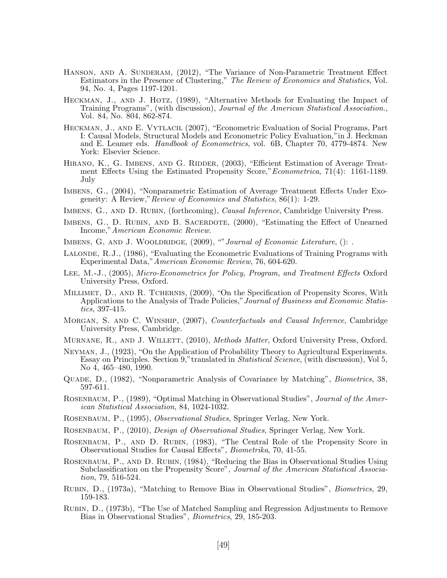- Hanson, and A. Sunderam, (2012), "The Variance of Non-Parametric Treatment Effect Estimators in the Presence of Clustering," The Review of Economics and Statistics, Vol. 94, No. 4, Pages 1197-1201.
- HECKMAN, J., AND J. HOTZ, (1989), "Alternative Methods for Evaluating the Impact of Training Programs", (with discussion), Journal of the American Statistical Association., Vol. 84, No. 804, 862-874.
- Heckman, J., and E. Vytlacil (2007), "Econometric Evaluation of Social Programs, Part I: Causal Models, Structural Models and Econometric Policy Evaluation,"in J. Heckman and E. Leamer eds. *Handbook of Econometrics*, vol. 6B, Chapter 70, 4779-4874. New York: Elsevier Science.
- HIRANO, K., G. IMBENS, AND G. RIDDER, (2003), "Efficient Estimation of Average Treatment Effects Using the Estimated Propensity Score," Econometrica, 71(4): 1161-1189. July
- Imbens, G., (2004), "Nonparametric Estimation of Average Treatment Effects Under Exogeneity: A Review,"Review of Economics and Statistics, 86(1): 1-29.
- IMBENS, G., AND D. RUBIN, (forthcoming), *Causal Inference*, Cambridge University Press.
- IMBENS, G., D. RUBIN, AND B. SACERDOTE, (2000), "Estimating the Effect of Unearned Income,"American Economic Review.
- IMBENS, G, AND J. WOOLDRIDGE,  $(2009)$ , ""Journal of Economic Literature, ():
- LALONDE, R.J., (1986), "Evaluating the Econometric Evaluations of Training Programs with Experimental Data,"American Economic Review, 76, 604-620.
- Lee, M.-J., (2005), Micro-Econometrics for Policy, Program, and Treatment Effects Oxford University Press, Oxford.
- MILLIMET, D., AND R. TCHERNIS, (2009), "On the Specification of Propensity Scores, With Applications to the Analysis of Trade Policies," Journal of Business and Economic Statistics, 397-415.
- Morgan, S. and C. Winship, (2007), Counterfactuals and Causal Inference, Cambridge University Press, Cambridge.
- MURNANE, R., AND J. WILLETT, (2010), *Methods Matter*, Oxford University Press, Oxford.
- Neyman, J., (1923), "On the Application of Probability Theory to Agricultural Experiments. Essay on Principles. Section 9,"translated in Statistical Science, (with discussion), Vol 5, No 4, 465–480, 1990.
- Quade, D., (1982), "Nonparametric Analysis of Covariance by Matching", Biometrics, 38, 597-611.
- ROSENBAUM, P., (1989), "Optimal Matching in Observational Studies", *Journal of the Amer*ican Statistical Association, 84, 1024-1032.
- Rosenbaum, P., (1995), Observational Studies, Springer Verlag, New York.
- Rosenbaum, P., (2010), Design of Observational Studies, Springer Verlag, New York.
- Rosenbaum, P., and D. Rubin, (1983), "The Central Role of the Propensity Score in Observational Studies for Causal Effects", Biometrika, 70, 41-55.
- ROSENBAUM, P., AND D. RUBIN, (1984), "Reducing the Bias in Observational Studies Using Subclassification on the Propensity Score", Journal of the American Statistical Association, 79, 516-524.
- Rubin, D., (1973a), "Matching to Remove Bias in Observational Studies", Biometrics, 29, 159-183.
- Rubin, D., (1973b), "The Use of Matched Sampling and Regression Adjustments to Remove Bias in Observational Studies", Biometrics, 29, 185-203.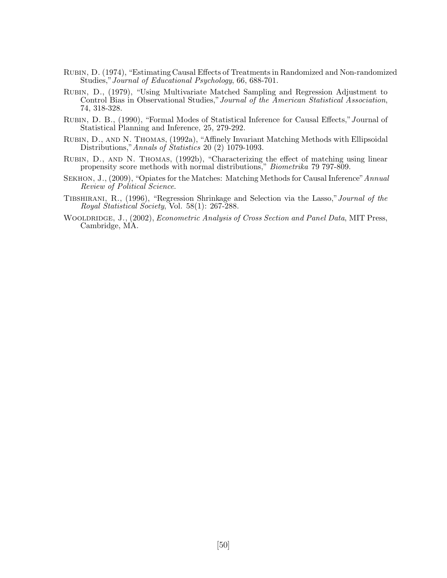- Rubin, D. (1974), "Estimating Causal Effects of Treatments in Randomized and Non-randomized Studies,"Journal of Educational Psychology, 66, 688-701.
- Rubin, D., (1979), "Using Multivariate Matched Sampling and Regression Adjustment to Control Bias in Observational Studies,"Journal of the American Statistical Association, 74, 318-328.
- RUBIN, D. B., (1990), "Formal Modes of Statistical Inference for Causal Effects," Journal of Statistical Planning and Inference, 25, 279-292.
- Rubin, D., and N. Thomas, (1992a), "Affinely Invariant Matching Methods with Ellipsoidal Distributions,"Annals of Statistics 20 (2) 1079-1093.
- Rubin, D., and N. Thomas, (1992b), "Characterizing the effect of matching using linear propensity score methods with normal distributions," Biometrika 79 797-809.
- SEKHON, J.,  $(2009)$ , "Opiates for the Matches: Matching Methods for Causal Inference" Annual Review of Political Science.
- Tibshirani, R., (1996), "Regression Shrinkage and Selection via the Lasso,"Journal of the Royal Statistical Society, Vol. 58(1): 267-288.
- WOOLDRIDGE, J., (2002), *Econometric Analysis of Cross Section and Panel Data*, MIT Press, Cambridge, MA.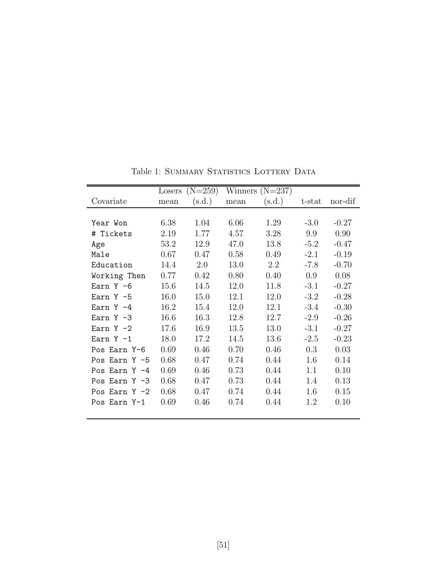|                  |      | Losers $(N=259)$ |      | Winners $(N=237)$ |           |         |
|------------------|------|------------------|------|-------------------|-----------|---------|
| Covariate        | mean | (s.d.)           | mean | (s.d.)            | $t$ -stat | nor-dif |
|                  |      |                  |      |                   |           |         |
| Year Won         | 6.38 | 1.04             | 6.06 | 1.29              | $-3.0$    | $-0.27$ |
| Tickets<br>#     | 2.19 | 1.77             | 4.57 | 3.28              | 9.9       | 0.90    |
| Age              | 53.2 | 12.9             | 47.0 | 13.8              | $-5.2$    | $-0.47$ |
| Male             | 0.67 | 0.47             | 0.58 | 0.49              | $-2.1$    | $-0.19$ |
| Education        | 14.4 | 2.0              | 13.0 | 2.2               | $-7.8$    | $-0.70$ |
| Working Then     | 0.77 | 0.42             | 0.80 | 0.40              | 0.9       | 0.08    |
| Earn $Y - 6$     | 15.6 | 14.5             | 12.0 | 11.8              | $-3.1$    | $-0.27$ |
| Earn $Y - 5$     | 16.0 | 15.0             | 12.1 | 12.0              | $-3.2$    | $-0.28$ |
| $FarnY -4$       | 16.2 | 15.4             | 12.0 | 12.1              | $-3.4$    | $-0.30$ |
| Earn $Y - 3$     | 16.6 | 16.3             | 12.8 | 12.7              | $-2.9$    | $-0.26$ |
| Earn $Y - 2$     | 17.6 | 16.9             | 13.5 | 13.0              | $-3.1$    | $-0.27$ |
| Earn $Y - 1$     | 18.0 | 17.2             | 14.5 | 13.6              | $-2.5$    | $-0.23$ |
| Pos Earn Y-6     | 0.69 | 0.46             | 0.70 | 0.46              | 0.3       | 0.03    |
| Pos Earn $Y - 5$ | 0.68 | 0.47             | 0.74 | 0.44              | 1.6       | 0.14    |
| Pos Earn $Y -4$  | 0.69 | 0.46             | 0.73 | 0.44              | 1.1       | 0.10    |
| Pos Earn $Y - 3$ | 0.68 | 0.47             | 0.73 | 0.44              | 1.4       | 0.13    |
| Pos Earn $Y - 2$ | 0.68 | 0.47             | 0.74 | 0.44              | 1.6       | 0.15    |
| Pos Earn Y-1     | 0.69 | 0.46             | 0.74 | 0.44              | 1.2       | 0.10    |

Table 1: SUMMARY STATISTICS LOTTERY DATA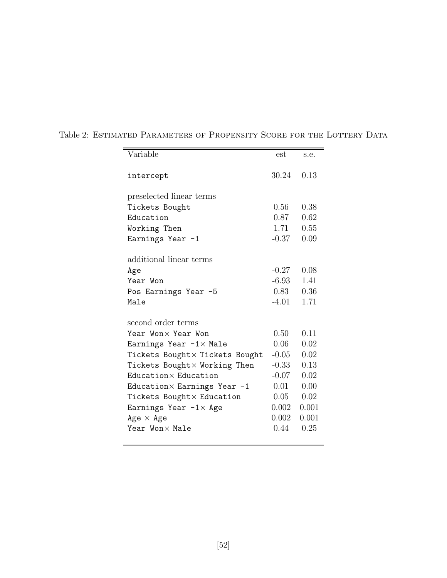| Variable                            | est     | s.e.  |
|-------------------------------------|---------|-------|
|                                     |         |       |
| intercept                           | 30.24   | 0.13  |
| preselected linear terms            |         |       |
| Tickets Bought                      | 0.56    | 0.38  |
| Education                           | 0.87    | 0.62  |
| Working Then                        | 1.71    | 0.55  |
| Earnings Year -1                    | $-0.37$ | 0.09  |
|                                     |         |       |
| additional linear terms             |         |       |
| Age                                 | $-0.27$ | 0.08  |
| Year Won                            | $-6.93$ | 1.41  |
| Pos Earnings Year -5                | 0.83    | 0.36  |
| Male                                | $-4.01$ | 1.71  |
|                                     |         |       |
| second order terms                  |         |       |
| Year Won× Year Won                  | 0.50    | 0.11  |
| Earnings Year $-1 \times$ Male      | 0.06    | 0.02  |
| Tickets Bought × Tickets Bought     | $-0.05$ | 0.02  |
| Tickets Bought× Working Then        | $-0.33$ | 0.13  |
| Education × Education               | $-0.07$ | 0.02  |
| Education $\times$ Earnings Year -1 | 0.01    | 0.00  |
| Tickets Bought × Education          | 0.05    | 0.02  |
| Earnings Year $-1\times$ Age        | 0.002   | 0.001 |
| $Age \times Age$                    | 0.002   | 0.001 |
| Year Won×Male                       | 0.44    | 0.25  |
|                                     |         |       |

Table 2: ESTIMATED PARAMETERS OF PROPENSITY SCORE FOR THE LOTTERY DATA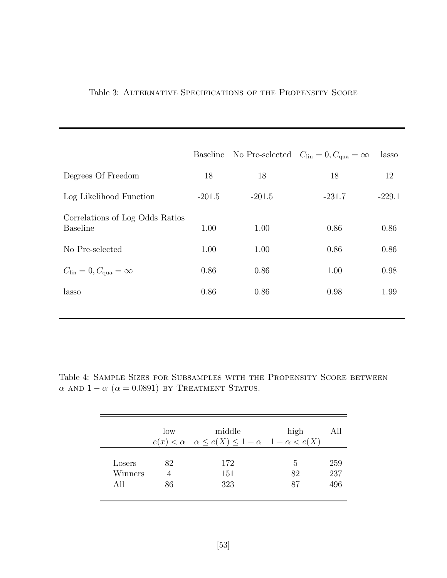|                                                    | Baseline |          | No Pre-selected $C_{lin} = 0, C_{qua} = \infty$ | lasso    |
|----------------------------------------------------|----------|----------|-------------------------------------------------|----------|
| Degrees Of Freedom                                 | 18       | 18       | 18                                              | 12       |
| Log Likelihood Function                            | $-201.5$ | $-201.5$ | $-231.7$                                        | $-229.1$ |
| Correlations of Log Odds Ratios<br><b>Baseline</b> | 1.00     | 1.00     | 0.86                                            | 0.86     |
| No Pre-selected                                    | 1.00     | 1.00     | 0.86                                            | 0.86     |
| $C_{\text{lin}} = 0, C_{\text{qua}} = \infty$      | 0.86     | 0.86     | 1.00                                            | 0.98     |
| lasso                                              | 0.86     | 0.86     | 0.98                                            | 1.99     |

### Table 3: Alternative Specifications of the Propensity Score

Table 4: Sample Sizes for Subsamples with the Propensity Score between α AND  $1 - \alpha$  ( $\alpha = 0.0891$ ) by Treatment Status.

|         | low | middle<br>$e(x) < \alpha \quad \alpha \leq e(X) \leq 1 - \alpha \quad 1 - \alpha < e(X)$ | high | AЩ  |
|---------|-----|------------------------------------------------------------------------------------------|------|-----|
| Losers  | 82  | 172                                                                                      | 5    | 259 |
| Winners |     | 151                                                                                      | 82   | 237 |
| All     | 86  | 323                                                                                      | 87   | 496 |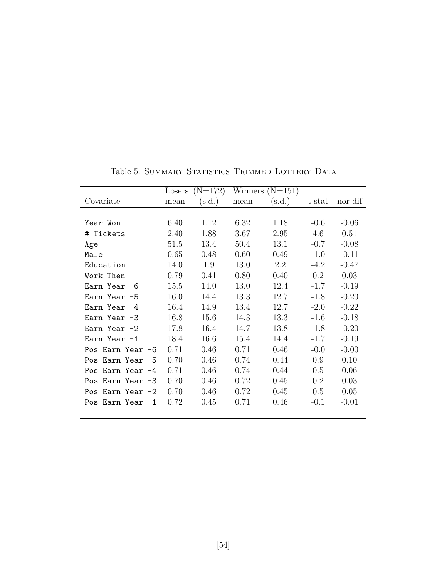|                  |      | Losers $(N=172)$ |      | Winners $(N=151)$ |        |         |
|------------------|------|------------------|------|-------------------|--------|---------|
| Covariate        | mean | (s.d.)           | mean | (s.d.)            | t-stat | nor-dif |
|                  |      |                  |      |                   |        |         |
| Year Won         | 6.40 | 1.12             | 6.32 | 1.18              | $-0.6$ | $-0.06$ |
| # Tickets        | 2.40 | 1.88             | 3.67 | 2.95              | 4.6    | 0.51    |
| Age              | 51.5 | 13.4             | 50.4 | 13.1              | $-0.7$ | $-0.08$ |
| Male             | 0.65 | 0.48             | 0.60 | 0.49              | $-1.0$ | $-0.11$ |
| Education        | 14.0 | 1.9              | 13.0 | 2.2               | $-4.2$ | $-0.47$ |
| Work Then        | 0.79 | 0.41             | 0.80 | 0.40              | 0.2    | 0.03    |
| Earn Year -6     | 15.5 | 14.0             | 13.0 | 12.4              | $-1.7$ | $-0.19$ |
| Earn Year -5     | 16.0 | 14.4             | 13.3 | 12.7              | $-1.8$ | $-0.20$ |
| Earn Year $-4$   | 16.4 | 14.9             | 13.4 | 12.7              | $-2.0$ | $-0.22$ |
| Earn Year -3     | 16.8 | 15.6             | 14.3 | 13.3              | $-1.6$ | $-0.18$ |
| Earn Year $-2$   | 17.8 | 16.4             | 14.7 | 13.8              | $-1.8$ | $-0.20$ |
| Earn Year -1     | 18.4 | 16.6             | 15.4 | 14.4              | $-1.7$ | $-0.19$ |
| Pos Earn Year -6 | 0.71 | 0.46             | 0.71 | 0.46              | $-0.0$ | $-0.00$ |
| Pos Earn Year -5 | 0.70 | 0.46             | 0.74 | 0.44              | 0.9    | 0.10    |
| Pos Earn Year -4 | 0.71 | 0.46             | 0.74 | 0.44              | 0.5    | 0.06    |
| Pos Earn Year -3 | 0.70 | 0.46             | 0.72 | 0.45              | 0.2    | 0.03    |
| Pos Earn Year -2 | 0.70 | 0.46             | 0.72 | 0.45              | 0.5    | 0.05    |
| Pos Earn Year -1 | 0.72 | 0.45             | 0.71 | 0.46              | $-0.1$ | $-0.01$ |

Table 5: SUMMARY STATISTICS TRIMMED LOTTERY DATA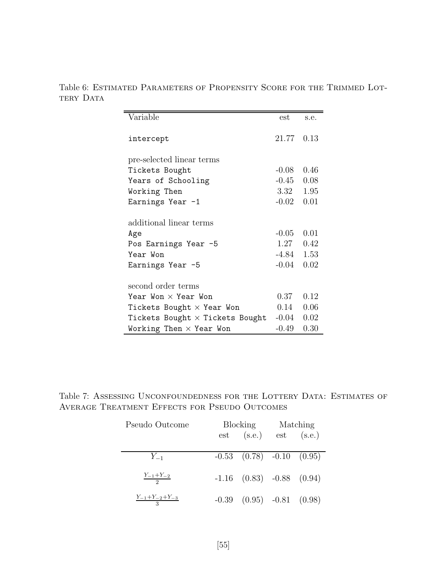Table 6: Estimated Parameters of Propensity Score for the Trimmed Lottery Data

| Variable                               | est          | s.e. |
|----------------------------------------|--------------|------|
| intercept                              | 21.77        | 0.13 |
| pre-selected linear terms              |              |      |
| Tickets Bought                         | $-0.08$      | 0.46 |
| Years of Schooling                     | $-0.45$      | 0.08 |
| Working Then                           | 3.32         | 1.95 |
| Earnings Year -1                       | $-0.02$      | 0.01 |
| additional linear terms                |              |      |
| Age                                    | $-0.05$      | 0.01 |
| Pos Earnings Year -5                   | 1.27         | 0.42 |
| Year Won                               | $-4.84$ 1.53 |      |
| Earnings Year -5                       | $-0.04$      | 0.02 |
| second order terms                     |              |      |
| Year Won $\times$ Year Won             | 0.37         | 0.12 |
| Tickets Bought $\times$ Year Won       | 0.14         | 0.06 |
| Tickets Bought $\times$ Tickets Bought | $-0.04$      | 0.02 |
| Working Then $\times$ Year Won         | -0.49        | 0.30 |

Table 7: ASSESSING UNCONFOUNDEDNESS FOR THE LOTTERY DATA: ESTIMATES OF Average Treatment Effects for Pseudo Outcomes

| Pseudo Outcome                   | Blocking |                                          | Matching |  |
|----------------------------------|----------|------------------------------------------|----------|--|
|                                  |          | $est$ (s.e.) est (s.e.)                  |          |  |
| $Y_{-1}$                         |          | $\overline{-0.53}$ (0.78) $-0.10$ (0.95) |          |  |
| $\frac{Y_{-1}+Y_{-2}}{2}$        |          | $-1.16$ $(0.83)$ $-0.88$ $(0.94)$        |          |  |
| $\frac{Y_{-1}+Y_{-2}+Y_{-3}}{3}$ |          | $-0.39$ $(0.95)$ $-0.81$ $(0.98)$        |          |  |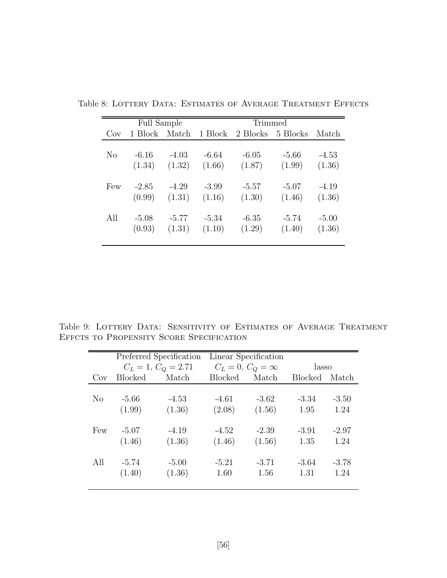|                | <b>Full Sample</b> |         |         | <b>Trimmed</b> |          |         |
|----------------|--------------------|---------|---------|----------------|----------|---------|
| Cov            | 1 Block Match      |         | 1 Block | 2 Blocks       | 5 Blocks | Match   |
| N <sub>0</sub> | $-6.16$            | $-4.03$ | $-6.64$ | $-6.05$        | $-5.66$  | $-4.53$ |
|                | (1.34)             | (1.32)  | (1.66)  | (1.87)         | (1.99)   | (1.36)  |
| Few            | $-2.85$            | $-4.29$ | $-3.99$ | $-5.57$        | $-5.07$  | $-4.19$ |
|                | (0.99)             | (1.31)  | (1.16)  | (1.30)         | (1.46)   | (1.36)  |
| All            | $-5.08$            | $-5.77$ | $-5.34$ | $-6.35$        | $-5.74$  | $-5.00$ |
|                | (0.93)             | (1.31)  | (1.10)  | (1.29)         | (1.40)   | (1.36)  |

Table 8: LOTTERY DATA: ESTIMATES OF AVERAGE TREATMENT EFFECTS

Table 9: LOTTERY DATA: SENSITIVITY OF ESTIMATES OF AVERAGE TREATMENT Effcts to Propensity Score Specification

|                |                | Preferred Specification |                | Linear Specification    |                |         |
|----------------|----------------|-------------------------|----------------|-------------------------|----------------|---------|
|                |                | $C_L = 1, C_Q = 2.71$   |                | $C_L = 0, C_Q = \infty$ | lasso          |         |
| Cov            | <b>Blocked</b> | Match                   | <b>Blocked</b> | Match                   | <b>Blocked</b> | Match   |
|                |                |                         |                |                         |                |         |
| N <sub>0</sub> | $-5.66$        | $-4.53$                 | $-4.61$        | $-3.62$                 | $-3.34$        | $-3.50$ |
|                | (1.99)         | (1.36)                  | (2.08)         | (1.56)                  | 1.95           | 1.24    |
|                |                |                         |                |                         |                |         |
| Few            | $-5.07$        | $-4.19$                 | $-4.52$        | $-2.39$                 | $-3.91$        | $-2.97$ |
|                | (1.46)         | (1.36)                  | (1.46)         | (1.56)                  | 1.35           | 1.24    |
|                |                |                         |                |                         |                |         |
| All            | $-5.74$        | $-5.00$                 | $-5.21$        | $-3.71$                 | $-3.64$        | $-3.78$ |
|                | (1.40)         | (1.36)                  | 1.60           | 1.56                    | 1.31           | 1.24    |
|                |                |                         |                |                         |                |         |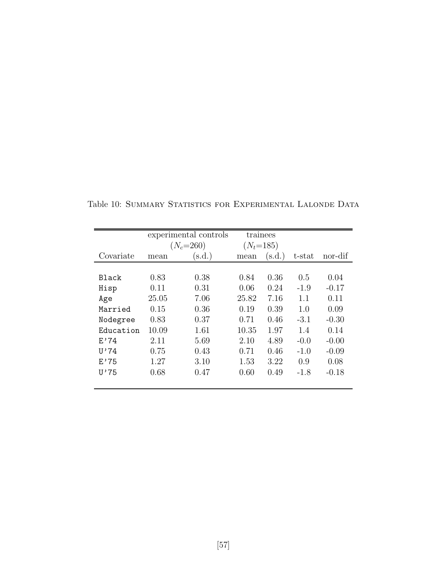|              | experimental controls |             |       | trainees    |        |         |
|--------------|-----------------------|-------------|-------|-------------|--------|---------|
|              |                       | $(N_c=260)$ |       | $(N_t=185)$ |        |         |
| Covariate    | mean                  | (s.d.)      | mean  | (s.d.)      | t-stat | nor-dif |
|              |                       |             |       |             |        |         |
| <b>Black</b> | 0.83                  | 0.38        | 0.84  | 0.36        | 0.5    | 0.04    |
| Hisp         | 0.11                  | 0.31        | 0.06  | 0.24        | $-1.9$ | $-0.17$ |
| Age          | 25.05                 | 7.06        | 25.82 | 7.16        | 1.1    | 0.11    |
| Married      | 0.15                  | 0.36        | 0.19  | 0.39        | 1.0    | 0.09    |
| Nodegree     | 0.83                  | 0.37        | 0.71  | 0.46        | $-3.1$ | $-0.30$ |
| Education    | 10.09                 | 1.61        | 10.35 | 1.97        | 1.4    | 0.14    |
| E'74         | 2.11                  | 5.69        | 2.10  | 4.89        | $-0.0$ | $-0.00$ |
| U'74         | 0.75                  | 0.43        | 0.71  | 0.46        | $-1.0$ | $-0.09$ |
| E'75         | 1.27                  | 3.10        | 1.53  | 3.22        | 0.9    | 0.08    |
| U'75         | 0.68                  | 0.47        | 0.60  | 0.49        | $-1.8$ | $-0.18$ |
|              |                       |             |       |             |        |         |

Table 10: SUMMARY STATISTICS FOR EXPERIMENTAL LALONDE DATA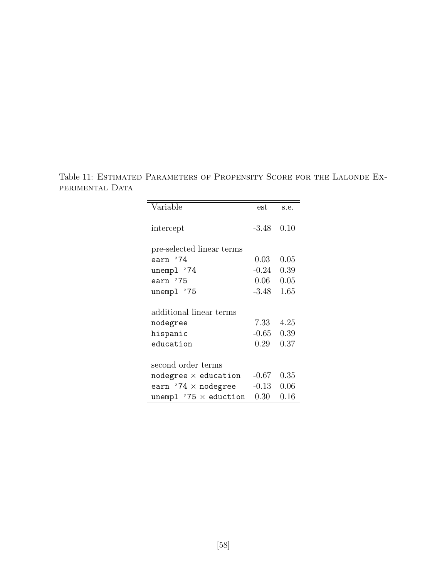Table 11: Estimated Parameters of Propensity Score for the Lalonde Experimental Data

| Variable                     | est      | s.e. |
|------------------------------|----------|------|
| intercept                    | $-3.48$  | 0.10 |
| pre-selected linear terms    |          |      |
| earn '74                     | 0.03     | 0.05 |
| unempl '74                   | $-0.24$  | 0.39 |
| earn '75                     | 0.06     | 0.05 |
| unempl '75                   | $-3.48$  | 1.65 |
| additional linear terms      |          |      |
| nodegree                     | 7.33     | 4.25 |
| hispanic                     | $-0.65$  | 0.39 |
| education                    | 0.29     | 0.37 |
| second order terms           |          |      |
| nodegree $\times$ education  | $-0.67$  | 0.35 |
| earn '74 $\times$ nodegree   | $-0.13$  | 0.06 |
| unempl $'75 \times$ eduction | $0.30\,$ | 0.16 |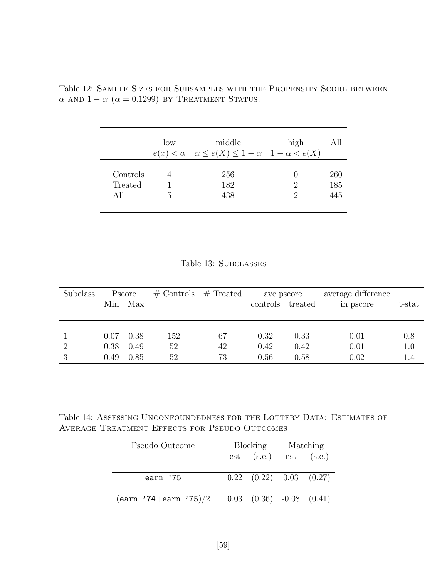|                            | low | middle<br>$e(x) < \alpha \quad \alpha \leq e(X) \leq 1 - \alpha \quad 1 - \alpha < e(X)$ | high   | All               |
|----------------------------|-----|------------------------------------------------------------------------------------------|--------|-------------------|
| Controls<br>Treated<br>All | .5  | 256<br>182<br>438                                                                        | 2<br>2 | 260<br>185<br>445 |

Table 12: Sample Sizes for Subsamples with the Propensity Score between  $\alpha$  and  $1 - \alpha$  ( $\alpha = 0.1299$ ) by Treatment Status.

| Subclass | Min                  | Pscore<br>Max        | $\#$ Controls   | $#$ Treated    | ave pscore<br>controls treated |                      | average difference<br>in pscore | t-stat                |
|----------|----------------------|----------------------|-----------------|----------------|--------------------------------|----------------------|---------------------------------|-----------------------|
| 2<br>3   | 0.07<br>0.38<br>0.49 | 0.38<br>0.49<br>0.85 | 152<br>52<br>52 | 67<br>42<br>73 | 0.32<br>0.42<br>0.56           | 0.33<br>0.42<br>0.58 | 0.01<br>0.01<br>0.02            | 0.8<br>$1.0\,$<br>1.4 |

Table 14: ASSESSING UNCONFOUNDEDNESS FOR THE LOTTERY DATA: ESTIMATES OF Average Treatment Effects for Pseudo Outcomes

| Pseudo Outcome                                         | Blocking |                                 | Matching |  |
|--------------------------------------------------------|----------|---------------------------------|----------|--|
|                                                        |          | $est$ $(s.e.)$ $est$ $(s.e.)$   |          |  |
|                                                        |          |                                 |          |  |
| earn '75                                               |          | $0.22$ $(0.22)$ $0.03$ $(0.27)$ |          |  |
|                                                        |          |                                 |          |  |
| $(earn \t '74+earn \t '75)/2$ 0.03 (0.36) -0.08 (0.41) |          |                                 |          |  |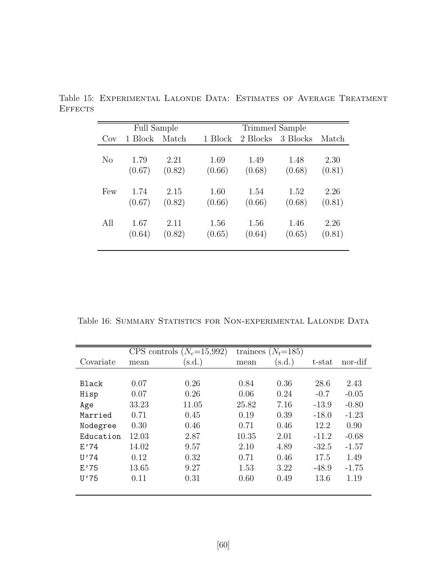|     | <b>Full Sample</b> |        |         | Trimmed Sample |          |        |  |  |
|-----|--------------------|--------|---------|----------------|----------|--------|--|--|
| Cov | 1 Block            | Match  | 1 Block | 2 Blocks       | 3 Blocks | Match  |  |  |
|     |                    |        |         |                |          |        |  |  |
| No  | 1.79               | 2.21   | 1.69    | 1.49           | 1.48     | 2.30   |  |  |
|     | (0.67)             | (0.82) | (0.66)  | (0.68)         | (0.68)   | (0.81) |  |  |
|     |                    |        |         |                |          |        |  |  |
| Few | 1.74               | 2.15   | 1.60    | 1.54           | 1.52     | 2.26   |  |  |
|     | (0.67)             | (0.82) | (0.66)  | (0.66)         | (0.68)   | (0.81) |  |  |
|     |                    |        |         |                |          |        |  |  |
| All | 1.67               | 2.11   | 1.56    | 1.56           | 1.46     | 2.26   |  |  |
|     | (0.64)             | (0.82) | (0.65)  | (0.64)         | (0.65)   | (0.81) |  |  |
|     |                    |        |         |                |          |        |  |  |

Table 15: Experimental Lalonde Data: Estimates of Average Treatment **EFFECTS** 

Table 16: SUMMARY STATISTICS FOR NON-EXPERIMENTAL LALONDE DATA

|              |       | CPS controls $(N_c=15,992)$ |       | trainees $(N_t=185)$ |         |         |
|--------------|-------|-----------------------------|-------|----------------------|---------|---------|
| Covariate    | mean  | $(\mathrm{s.d.})$           | mean  | $(\mathrm{s.d.})$    | t-stat  | nor-dif |
|              |       |                             |       |                      |         |         |
| <b>Black</b> | 0.07  | 0.26                        | 0.84  | 0.36                 | 28.6    | 2.43    |
| Hisp         | 0.07  | 0.26                        | 0.06  | 0.24                 | $-0.7$  | $-0.05$ |
| Age          | 33.23 | 11.05                       | 25.82 | 7.16                 | $-13.9$ | $-0.80$ |
| Married      | 0.71  | 0.45                        | 0.19  | 0.39                 | $-18.0$ | $-1.23$ |
| Nodegree     | 0.30  | 0.46                        | 0.71  | 0.46                 | 12.2    | 0.90    |
| Education    | 12.03 | 2.87                        | 10.35 | 2.01                 | $-11.2$ | $-0.68$ |
| E'74         | 14.02 | 9.57                        | 2.10  | 4.89                 | $-32.5$ | $-1.57$ |
| U'74         | 0.12  | 0.32                        | 0.71  | 0.46                 | 17.5    | 1.49    |
| E'75         | 13.65 | 9.27                        | 1.53  | 3.22                 | $-48.9$ | $-1.75$ |
| U'75         | 0.11  | 0.31                        | 0.60  | 0.49                 | 13.6    | 1.19    |
|              |       |                             |       |                      |         |         |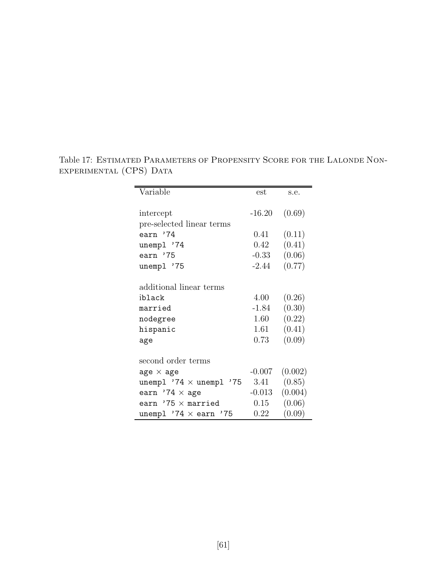| Variable                         | est      | s.e.    |
|----------------------------------|----------|---------|
|                                  |          |         |
| intercept                        | $-16.20$ | (0.69)  |
| pre-selected linear terms        |          |         |
| earn '74                         | 0.41     | (0.11)  |
| unempl '74                       | $0.42\,$ | (0.41)  |
| earn '75                         | $-0.33$  | (0.06)  |
| unempl '75                       | $-2.44$  | (0.77)  |
|                                  |          |         |
| additional linear terms          |          |         |
| iblack                           | 4.00     | (0.26)  |
| married                          | $-1.84$  | (0.30)  |
| nodegree                         | 1.60     | (0.22)  |
| hispanic                         | 1.61     | (0.41)  |
| age                              | 0.73     | (0.09)  |
|                                  |          |         |
| second order terms               |          |         |
| age $\times$ age                 | $-0.007$ | (0.002) |
| unempl $'74 \times$ unempl $'75$ | 3.41     | (0.85)  |
| earn '74 $\times$ age            | $-0.013$ | (0.004) |
| earn $'75 \times$ married        | 0.15     | (0.06)  |
| unempl $'74 \times$ earn $'75$   | $0.22\,$ | (0.09)  |

Table 17: Estimated Parameters of Propensity Score for the Lalonde Nonexperimental (CPS) Data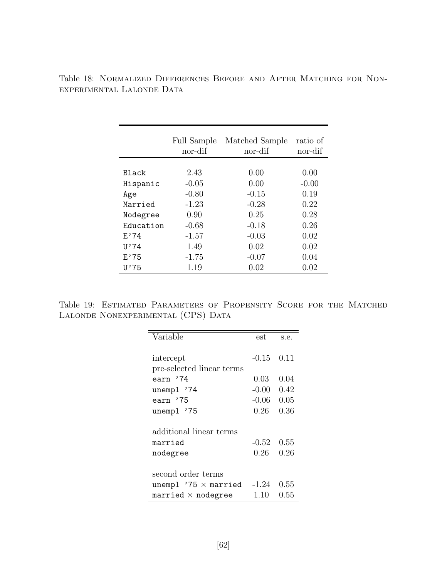|           | <b>Full Sample</b><br>nor-dif | Matched Sample<br>nor-dif | ratio of<br>nor-dif |
|-----------|-------------------------------|---------------------------|---------------------|
|           |                               |                           |                     |
| Black     | 2.43                          | 0.00                      | 0.00                |
| Hispanic  | $-0.05$                       | 0.00                      | $-0.00$             |
| Age       | $-0.80$                       | $-0.15$                   | 0.19                |
| Married   | $-1.23$                       | $-0.28$                   | 0.22                |
| Nodegree  | 0.90                          | 0.25                      | 0.28                |
| Education | $-0.68$                       | $-0.18$                   | 0.26                |
| F.74      | $-1.57$                       | $-0.03$                   | 0.02                |
| U'74      | 1.49                          | 0.02                      | 0.02                |
| E'75      | $-1.75$                       | $-0.07$                   | 0.04                |
| U'75      | 1.19                          | 0.02                      | 0.02                |

Table 18: Normalized Differences Before and After Matching for Nonexperimental Lalonde Data

Table 19: Estimated Parameters of Propensity Score for the Matched LALONDE NONEXPERIMENTAL (CPS) DATA

| Variable                    | est            | s.e. |
|-----------------------------|----------------|------|
|                             |                |      |
| intercept                   | $-0.15$        | 0.11 |
| pre-selected linear terms   |                |      |
| earn '74                    | 0.03           | 0.04 |
| unempl '74                  | $-0.00$        | 0.42 |
| earn '75                    | $-0.06$        | 0.05 |
| unempl '75                  | 0.26           | 0.36 |
|                             |                |      |
| additional linear terms     |                |      |
| married                     | $-0.52$ $0.55$ |      |
| nodegree                    | 0.26 -         | 0.26 |
|                             |                |      |
| second order terms          |                |      |
| unempl $'75 \times$ married | $-1.24$        | 0.55 |
| married $\times$ nodegree   | 1.10           | 0.55 |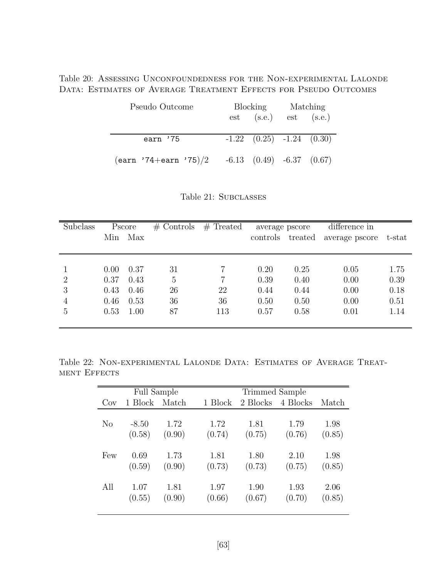Table 20: Assessing Unconfoundedness for the Non-experimental Lalonde DATA: ESTIMATES OF AVERAGE TREATMENT EFFECTS FOR PSEUDO OUTCOMES

| Pseudo Outcome                | Blocking                          | Matching |  |
|-------------------------------|-----------------------------------|----------|--|
|                               | $est$ (s.e.) est (s.e.)           |          |  |
|                               |                                   |          |  |
| earn '75                      | $-1.22$ $(0.25)$ $-1.24$ $(0.30)$ |          |  |
|                               |                                   |          |  |
| $(earn \t '74+earn \t '75)/2$ | $-6.13$ $(0.49)$ $-6.37$ $(0.67)$ |          |  |

Table 21: SUBCLASSES

| Subclass       |      | Pscore | $#$ Controls | $#$ Treated | average pscore   |      | difference in  |        |
|----------------|------|--------|--------------|-------------|------------------|------|----------------|--------|
|                | Min  | Max    |              |             | controls treated |      | average pscore | t-stat |
|                |      |        |              |             |                  |      |                |        |
|                |      |        |              |             |                  |      |                |        |
|                | 0.00 | 0.37   | 31           |             | 0.20             | 0.25 | 0.05           | 1.75   |
| $\overline{2}$ | 0.37 | 0.43   | 5            |             | 0.39             | 0.40 | 0.00           | 0.39   |
| 3              | 0.43 | 0.46   | 26           | 22          | 0.44             | 0.44 | 0.00           | 0.18   |
| $\overline{4}$ | 0.46 | 0.53   | 36           | 36          | 0.50             | 0.50 | 0.00           | 0.51   |
| 5              | 0.53 | 1.00   | 87           | 113         | 0.57             | 0.58 | 0.01           | 1.14   |
|                |      |        |              |             |                  |      |                |        |

Table 22: Non-experimental Lalonde Data: Estimates of Average Treatment Effects

|                | <b>Full Sample</b><br>Trimmed Sample |        |         |          |          |        |
|----------------|--------------------------------------|--------|---------|----------|----------|--------|
| Cov            | 1 Block                              | Match  | 1 Block | 2 Blocks | 4 Blocks | Match  |
|                |                                      |        |         |          |          |        |
| N <sub>o</sub> | $-8.50$                              | 1.72   | 1.72    | 1.81     | 1.79     | 1.98   |
|                | (0.58)                               | (0.90) | (0.74)  | (0.75)   | (0.76)   | (0.85) |
|                |                                      |        |         |          |          |        |
| Few            | 0.69                                 | 1.73   | 1.81    | 1.80     | 2.10     | 1.98   |
|                | (0.59)                               | (0.90) | (0.73)  | (0.73)   | (0.75)   | (0.85) |
|                |                                      |        |         |          |          |        |
| All            | 1.07                                 | 1.81   | 1.97    | 1.90     | 1.93     | 2.06   |
|                | (0.55)                               | (0.90) | (0.66)  | (0.67)   | (0.70)   | (0.85) |
|                |                                      |        |         |          |          |        |